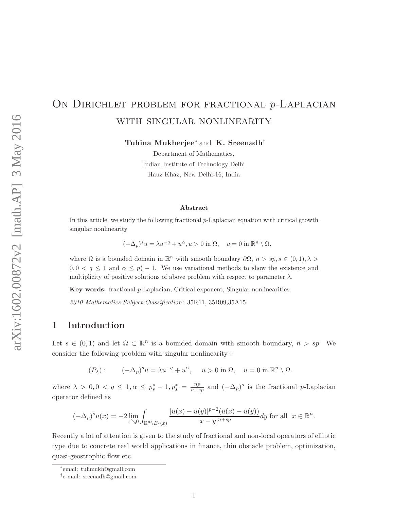# ON DIRICHLET PROBLEM FOR FRACTIONAL *p*-LAPLACIAN with singular nonlinearity

Tuhina Mukherjee<sup>∗</sup> and K. Sreenadh†

Department of Mathematics, Indian Institute of Technology Delhi Hauz Khaz, New Delhi-16, India

#### Abstract

In this article, we study the following fractional  $p$ -Laplacian equation with critical growth singular nonlinearity

$$
(-\Delta_p)^s u = \lambda u^{-q} + u^{\alpha}, u > 0 \text{ in } \Omega, \quad u = 0 \text{ in } \mathbb{R}^n \setminus \Omega.
$$

where  $\Omega$  is a bounded domain in  $\mathbb{R}^n$  with smooth boundary  $\partial\Omega$ ,  $n > sp, s \in (0,1), \lambda >$  $0, 0 < q \leq 1$  and  $\alpha \leq p_s^* - 1$ . We use variational methods to show the existence and multiplicity of positive solutions of above problem with respect to parameter  $\lambda$ .

Key words: fractional p-Laplacian, Critical exponent, Singular nonlinearities

*2010 Mathematics Subject Classification:* 35R11, 35R09,35A15.

## 1 Introduction

Let  $s \in (0,1)$  and let  $\Omega \subset \mathbb{R}^n$  is a bounded domain with smooth boundary,  $n > sp$ . We consider the following problem with singular nonlinearity :

 $(P_\lambda): \quad (-\Delta_p)^s u = \lambda u^{-q} + u^{\alpha}, \quad u > 0 \text{ in } \Omega, \quad u = 0 \text{ in } \mathbb{R}^n \setminus \Omega.$ 

where  $\lambda > 0, 0 < q \leq 1, \alpha \leq p_s^* - 1, p_s^* = \frac{np}{n-s}$  $\frac{np}{n-sp}$  and  $(-\Delta_p)^s$  is the fractional p-Laplacian operator defined as

$$
(-\Delta_p)^s u(x) = -2 \lim_{\epsilon \searrow 0} \int_{\mathbb{R}^n \setminus B_{\epsilon}(x)} \frac{|u(x) - u(y)|^{p-2} (u(x) - u(y))}{|x - y|^{n+sp}} dy \text{ for all } x \in \mathbb{R}^n.
$$

Recently a lot of attention is given to the study of fractional and non-local operators of elliptic type due to concrete real world applications in finance, thin obstacle problem, optimization, quasi-geostrophic flow etc.

<sup>∗</sup> email: tulimukh@gmail.com

<sup>†</sup> e-mail: sreenadh@gmail.com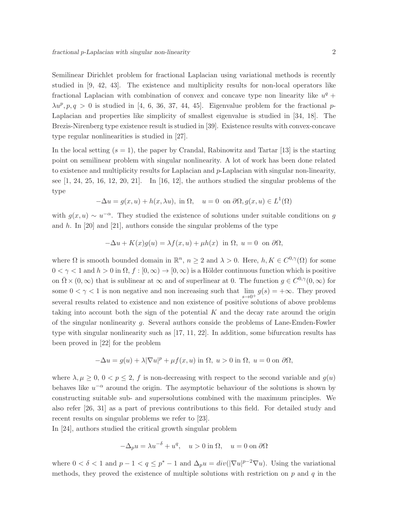Semilinear Dirichlet problem for fractional Laplacian using variational methods is recently studied in [9, 42, 43]. The existence and multiplicity results for non-local operators like fractional Laplacian with combination of convex and concave type non linearity like  $u^q$  +  $\lambda u^p, p, q > 0$  is studied in [4, 6, 36, 37, 44, 45]. Eigenvalue problem for the fractional p-Laplacian and properties like simplicity of smallest eigenvalue is studied in [34, 18]. The Brezis-Nirenberg type existence result is studied in [39]. Existence results with convex-concave type regular nonlinearities is studied in [27].

In the local setting  $(s = 1)$ , the paper by Crandal, Rabinowitz and Tartar [13] is the starting point on semilinear problem with singular nonlinearity. A lot of work has been done related to existence and multiplicity results for Laplacian and p-Laplacian with singular non-linearity, see  $[1, 24, 25, 16, 12, 20, 21]$ . In  $[16, 12]$ , the authors studied the singular problems of the type

$$
-\Delta u = g(x, u) + h(x, \lambda u), \text{ in } \Omega, \quad u = 0 \text{ on } \partial\Omega, g(x, u) \in L^1(\Omega)
$$

with  $g(x, u) \sim u^{-\alpha}$ . They studied the existence of solutions under suitable conditions on g and h. In [20] and [21], authors conside the singular problems of the type

$$
-\Delta u + K(x)g(u) = \lambda f(x, u) + \mu h(x) \text{ in } \Omega, u = 0 \text{ on } \partial \Omega,
$$

where  $\Omega$  is smooth bounded domain in  $\mathbb{R}^n$ ,  $n \geq 2$  and  $\lambda > 0$ . Here,  $h, K \in C^{0,\gamma}(\Omega)$  for some  $0 < \gamma < 1$  and  $h > 0$  in  $\Omega, f : [0, \infty) \to [0, \infty)$  is a Hölder continuous function which is positive on  $\bar{\Omega} \times (0,\infty)$  that is sublinear at  $\infty$  and of superlinear at 0. The function  $g \in C^{0,\gamma}(0,\infty)$  for some  $0 < \gamma < 1$  is non negative and non increasing such that  $\lim_{s \to \infty} g(s) = +\infty$ . They proved  $s\rightarrow 0^+$ several results related to existence and non existence of positive solutions of above problems taking into account both the sign of the potential  $K$  and the decay rate around the origin of the singular nonlinearity g. Several authors conside the problems of Lane-Emden-Fowler type with singular nonlinearity such as [17, 11, 22]. In addition, some bifurcation results has been proved in [22] for the problem

$$
-\Delta u = g(u) + \lambda |\nabla u|^p + \mu f(x, u) \text{ in } \Omega, u > 0 \text{ in } \Omega, u = 0 \text{ on } \partial \Omega,
$$

where  $\lambda, \mu \geq 0, 0 < p \leq 2, f$  is non-decreasing with respect to the second variable and  $g(u)$ behaves like  $u^{-\alpha}$  around the origin. The asymptotic behaviour of the solutions is shown by constructing suitable sub- and supersolutions combined with the maximum principles. We also refer [26, 31] as a part of previous contributions to this field. For detailed study and recent results on singular problems we refer to [23].

In [24], authors studied the critical growth singular problem

$$
-\Delta_p u = \lambda u^{-\delta} + u^q, \quad u > 0 \text{ in } \Omega, \quad u = 0 \text{ on } \partial\Omega
$$

where  $0 < \delta < 1$  and  $p - 1 < q \le p^* - 1$  and  $\Delta_p u = div(|\nabla u|^{p-2} \nabla u)$ . Using the variational methods, they proved the existence of multiple solutions with restriction on  $p$  and  $q$  in the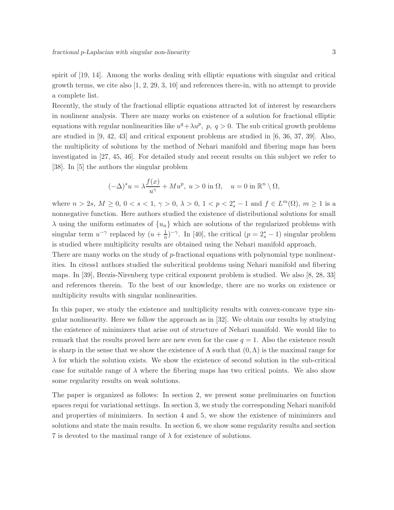spirit of [19, 14]. Among the works dealing with elliptic equations with singular and critical growth terms, we cite also [1, 2, 29, 3, 10] and references there-in, with no attempt to provide a complete list.

Recently, the study of the fractional elliptic equations attracted lot of interest by researchers in nonlinear analysis. There are many works on existence of a solution for fractional elliptic equations with regular nonlinearities like  $u^q + \lambda u^p$ ,  $p$ ,  $q > 0$ . The sub critical growth problems are studied in [9, 42, 43] and critical exponent problems are studied in [6, 36, 37, 39]. Also, the multiplicity of solutions by the method of Nehari manifold and fibering maps has been investigated in [27, 45, 46]. For detailed study and recent results on this subject we refer to [38]. In [5] the authors the singular problem

$$
(-\Delta)^s u = \lambda \frac{f(x)}{u^{\gamma}} + M u^p, \ u > 0 \text{ in } \Omega, \quad u = 0 \text{ in } \mathbb{R}^n \setminus \Omega,
$$

where  $n > 2s$ ,  $M \ge 0$ ,  $0 < s < 1$ ,  $\gamma > 0$ ,  $\lambda > 0$ ,  $1 < p < 2_s^* - 1$  and  $f \in L^m(\Omega)$ ,  $m \ge 1$  is a nonnegative function. Here authors studied the existence of distributional solutions for small  $\lambda$  using the uniform estimates of  $\{u_n\}$  which are solutions of the regularized problems with singular term  $u^{-\gamma}$  replaced by  $(u + \frac{1}{n})$  $\frac{1}{n}$ )<sup>- $\gamma$ </sup>. In [40], the critical ( $p = 2_s^* - 1$ ) singular problem is studied where multiplicity results are obtained using the Nehari manifold approach.

There are many works on the study of p-fractional equations with polynomial type nonlinearities. In citess1 authors studied the subcritical problems using Nehari manifold and fibering maps. In [39], Brezis-Nirenberg type critical exponent problem is studied. We also [8, 28, 33] and references therein. To the best of our knowledge, there are no works on existence or multiplicity results with singular nonlinearities.

In this paper, we study the existence and multiplicity results with convex-concave type singular nonlinearity. Here we follow the approach as in [32]. We obtain our results by studying the existence of minimizers that arise out of structure of Nehari manifold. We would like to remark that the results proved here are new even for the case  $q = 1$ . Also the existence result is sharp in the sense that we show the existence of  $\Lambda$  such that  $(0,\Lambda)$  is the maximal range for  $\lambda$  for which the solution exists. We show the existence of second solution in the sub-critical case for suitable range of  $\lambda$  where the fibering maps has two critical points. We also show some regularity results on weak solutions.

The paper is organized as follows: In section 2, we present some preliminaries on function spaces requi for variational settings. In section 3, we study the corresponding Nehari manifold and properties of minimizers. In section 4 and 5, we show the existence of minimizers and solutions and state the main results. In section 6, we show some regularity results and section 7 is devoted to the maximal range of  $\lambda$  for existence of solutions.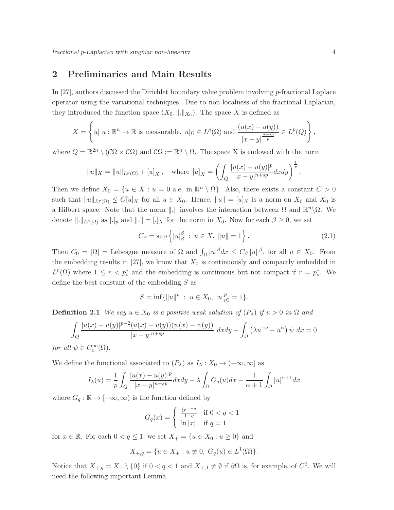### 2 Preliminaries and Main Results

In [27], authors discussed the Dirichlet boundary value problem involving p-fractional Laplace operator using the variational techniques. Due to non-localness of the fractional Laplacian, they introduced the function space  $(X_0, \|\. \|_{X_0})$ . The space X is defined as

$$
X = \left\{ u \mid u : \mathbb{R}^n \to \mathbb{R} \text{ is measurable, } u|_{\Omega} \in L^p(\Omega) \text{ and } \frac{(u(x) - u(y))}{|x - y|^{\frac{n + sp}{p}}} \in L^p(Q) \right\},\
$$

where  $Q = \mathbb{R}^{2n} \setminus (\mathcal{C}\Omega \times \mathcal{C}\Omega)$  and  $\mathcal{C}\Omega := \mathbb{R}^n \setminus \Omega$ . The space X is endowed with the norm

$$
||u||_X = ||u||_{L^p(\Omega)} + [u]_X
$$
, where  $[u]_X = \left( \int_Q \frac{|u(x) - u(y)|^p}{|x - y|^{n + sp}} dx dy \right)^{\frac{1}{p}}$ 

Then we define  $X_0 = \{u \in X : u = 0 \text{ a.e. in } \mathbb{R}^n \setminus \Omega\}$ . Also, there exists a constant  $C > 0$ such that  $||u||_{L^p(\Omega)} \leq C[u]_X$  for all  $u \in X_0$ . Hence,  $||u|| = [u]_X$  is a norm on  $X_0$  and  $X_0$  is a Hilbert space. Note that the norm ||.|| involves the interaction between  $\Omega$  and  $\mathbb{R}^n\setminus\Omega$ . We denote  $\|.\|_{L^p(\Omega)}$  as  $\|.\|_p$  and  $\|.\| = [\cdot]_X$  for the norm in  $X_0$ . Now for each  $\beta \geq 0$ , we set

$$
C_{\beta} = \sup \{ |u|_{\beta}^{\beta} : u \in X, ||u|| = 1 \}.
$$
 (2.1)

Then  $C_0 = |\Omega|$  = Lebesgue measure of  $\Omega$  and  $\int_{\Omega} |u|^{\beta} dx \leq C_{\beta} ||u||^{\beta}$ , for all  $u \in X_0$ . From the embedding results in [27], we know that  $X_0$  is continuously and compactly embedded in  $L^r(\Omega)$  where  $1 \leq r < p_s^*$  and the embedding is continuous but not compact if  $r = p_s^*$ . We define the best constant of the embedding S as

$$
S = \inf \{ ||u||^p : u \in X_0, \ |u|_{p_s^*}^p = 1 \}.
$$

**Definition 2.1** *We say*  $u \in X_0$  *is a positive weak solution of*  $(P_\lambda)$  *if*  $u > 0$  *in*  $\Omega$  *and* 

$$
\int_{Q} \frac{|u(x) - u(y)|^{p-2} (u(x) - u(y)) (\psi(x) - \psi(y))}{|x - y|^{n+sp}} dx dy - \int_{\Omega} (\lambda u^{-q} - u^{\alpha}) \psi dx = 0
$$

*for all*  $\psi \in C_c^{\infty}(\Omega)$ .

We define the functional associated to  $(P_\lambda)$  as  $I_\lambda: X_0 \to (-\infty, \infty]$  as

$$
I_{\lambda}(u) = \frac{1}{p} \int_{Q} \frac{|u(x) - u(y)|^p}{|x - y|^{n + sp}} dx dy - \lambda \int_{\Omega} G_q(u) dx - \frac{1}{\alpha + 1} \int_{\Omega} |u|^{\alpha + 1} dx
$$

where  $G_q : \mathbb{R} \to [-\infty, \infty)$  is the function defined by

$$
G_q(x) = \begin{cases} \frac{|x|^{1-q}}{1-q} & \text{if } 0 < q < 1\\ \ln|x| & \text{if } q = 1 \end{cases}
$$

for  $x \in \mathbb{R}$ . For each  $0 < q \leq 1$ , we set  $X_+ = \{u \in X_0 : u \geq 0\}$  and

$$
X_{+,q}=\{u\in X_+: u\not\equiv 0, \; G_q(u)\in L^1(\Omega)\}.
$$

Notice that  $X_{+,q} = X_+ \setminus \{0\}$  if  $0 < q < 1$  and  $X_{+,1} \neq \emptyset$  if  $\partial\Omega$  is, for example, of  $C^2$ . We will need the following important Lemma.

.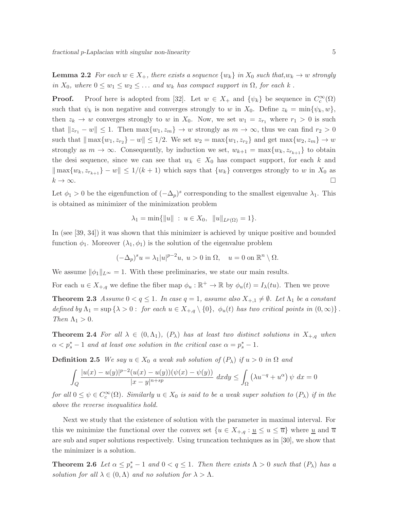**Lemma 2.2** For each  $w \in X_+$ , there exists a sequence  $\{w_k\}$  in  $X_0$  such that, $w_k \to w$  strongly *in*  $X_0$ *, where*  $0 \leq w_1 \leq w_2 \leq \ldots$  *and*  $w_k$  *has compact support in*  $\Omega$ *, for each*  $k$ .

**Proof.** Proof here is adopted from [32]. Let  $w \in X_+$  and  $\{\psi_k\}$  be sequence in  $C_c^{\infty}(\Omega)$ such that  $\psi_k$  is non negative and converges strongly to w in  $X_0$ . Define  $z_k = \min{\psi_k, w}$ , then  $z_k \to w$  converges strongly to w in  $X_0$ . Now, we set  $w_1 = z_{r_1}$  where  $r_1 > 0$  is such that  $||z_{r_1} - w|| \le 1$ . Then  $\max\{w_1, z_m\} \to w$  strongly as  $m \to \infty$ , thus we can find  $r_2 > 0$ such that  $\|\max\{w_1, z_{r_2}\} - w\| \leq 1/2$ . We set  $w_2 = \max\{w_1, z_{r_2}\}$  and get  $\max\{w_2, z_m\} \to w$ strongly as  $m \to \infty$ . Consequently, by induction we set,  $w_{k+1} = \max\{w_k, z_{r_{k+1}}\}$  to obtain the desi sequence, since we can see that  $w_k \in X_0$  has compact support, for each k and  $\|\max\{w_k, z_{r_{k+1}}\} - w\| \leq 1/(k+1)$  which says that  $\{w_k\}$  converges strongly to w in  $X_0$  as  $k \to \infty$ .

Let  $\phi_1 > 0$  be the eigenfunction of  $(-\Delta_p)^s$  corresponding to the smallest eigenvalue  $\lambda_1$ . This is obtained as minimizer of the minimization problem

$$
\lambda_1 = \min\{\|u\| : u \in X_0, \|u\|_{L^p(\Omega)} = 1\}.
$$

In (see [39, 34]) it was shown that this minimizer is achieved by unique positive and bounded function  $\phi_1$ . Moreover  $(\lambda_1, \phi_1)$  is the solution of the eigenvalue problem

$$
(-\Delta_p)^s u = \lambda_1 |u|^{p-2} u, \ u > 0 \text{ in } \Omega, \quad u = 0 \text{ on } \mathbb{R}^n \setminus \Omega.
$$

We assume  $\|\phi_1\|_{L^{\infty}} = 1$ . With these preliminaries, we state our main results.

For each  $u \in X_{+,q}$  we define the fiber map  $\phi_u : \mathbb{R}^+ \to \mathbb{R}$  by  $\phi_u(t) = I_\lambda(tu)$ . Then we prove

**Theorem 2.3** *Assume*  $0 < q \leq 1$ *. In case*  $q = 1$ *, assume also*  $X_{+,1} \neq \emptyset$ *. Let*  $\Lambda_1$  *be a constant defined by*  $\Lambda_1 = \sup \{\lambda > 0 : \text{ for each } u \in X_{+,q} \setminus \{0\}, \phi_u(t) \text{ has two critical points in } (0,\infty) \}.$ *Then*  $\Lambda_1 > 0$ *.* 

**Theorem 2.4** For all  $\lambda \in (0, \Lambda_1)$ ,  $(P_{\lambda})$  has at least two distinct solutions in  $X_{+,q}$  when  $\alpha < p_s^* - 1$  and at least one solution in the critical case  $\alpha = p_s^* - 1$ .

**Definition 2.5** *We say*  $u \in X_0$  *a weak sub solution of*  $(P_\lambda)$  *if*  $u > 0$  *in*  $\Omega$  *and* 

$$
\int_{Q} \frac{|u(x) - u(y)|^{p-2}(u(x) - u(y))(\psi(x) - \psi(y))}{|x - y|^{n+sp}} dx dy \le \int_{\Omega} (\lambda u^{-q} + u^{\alpha}) \psi dx = 0
$$

 $for \ all \ 0 \leq \psi \in C_c^{\infty}(\Omega)$ *. Similarly*  $u \in X_0$  *is said to be a weak super solution to*  $(P_{\lambda})$  *if in the above the reverse inequalities hold.*

Next we study that the existence of solution with the parameter in maximal interval. For this we minimize the functional over the convex set  $\{u \in X_{+,q} : u \leq u \leq \overline{u}\}\)$  where  $\underline{u}$  and  $\overline{u}$ are sub and super solutions respectively. Using truncation techniques as in [30], we show that the minimizer is a solution.

**Theorem 2.6** Let  $\alpha \leq p_s^* - 1$  and  $0 < q \leq 1$ . Then there exists  $\Lambda > 0$  such that  $(P_\lambda)$  has a *solution for all*  $\lambda \in (0, \Lambda)$  *and no solution for*  $\lambda > \Lambda$ *.*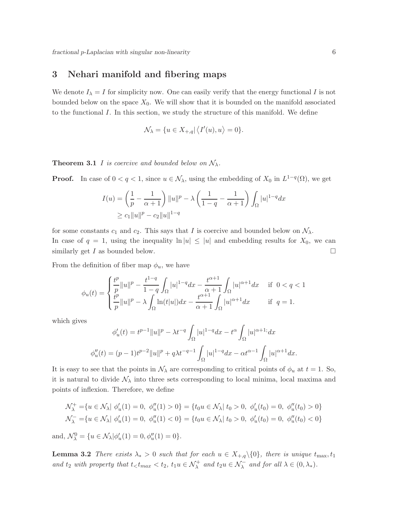### 3 Nehari manifold and fibering maps

We denote  $I_{\lambda} = I$  for simplicity now. One can easily verify that the energy functional I is not bounded below on the space  $X_0$ . We will show that it is bounded on the manifold associated to the functional I. In this section, we study the structure of this manifold. We define

$$
\mathcal{N}_{\lambda} = \{ u \in X_{+,q} | \langle I'(u), u \rangle = 0 \}.
$$

**Theorem 3.1** I is coercive and bounded below on  $\mathcal{N}_{\lambda}$ .

**Proof.** In case of  $0 < q < 1$ , since  $u \in \mathcal{N}_{\lambda}$ , using the embedding of  $X_0$  in  $L^{1-q}(\Omega)$ , we get

$$
I(u) = \left(\frac{1}{p} - \frac{1}{\alpha + 1}\right) ||u||^p - \lambda \left(\frac{1}{1 - q} - \frac{1}{\alpha + 1}\right) \int_{\Omega} |u|^{1 - q} dx
$$
  
\n
$$
\geq c_1 ||u||^p - c_2 ||u||^{1 - q}
$$

for some constants  $c_1$  and  $c_2$ . This says that I is coercive and bounded below on  $\mathcal{N}_{\lambda}$ . In case of  $q = 1$ , using the inequality  $\ln |u| \leq |u|$  and embedding results for  $X_0$ , we can similarly get I as bounded below.

From the definition of fiber map  $\phi_u$ , we have

$$
\phi_u(t) = \begin{cases} \frac{t^p}{p} \|u\|^p - \frac{t^{1-q}}{1-q} \int_{\Omega} |u|^{1-q} dx - \frac{t^{\alpha+1}}{\alpha+1} \int_{\Omega} |u|^{\alpha+1} dx & \text{if } 0 < q < 1 \\ \frac{t^p}{p} \|u\|^p - \lambda \int_{\Omega} \ln(t|u|) dx - \frac{t^{\alpha+1}}{\alpha+1} \int_{\Omega} |u|^{\alpha+1} dx & \text{if } q = 1. \end{cases}
$$

which gives

$$
\phi'_u(t) = t^{p-1} ||u||^p - \lambda t^{-q} \int_{\Omega} |u|^{1-q} dx - t^{\alpha} \int_{\Omega} |u|^{\alpha+1} dx
$$
  

$$
\phi''_u(t) = (p-1)t^{p-2} ||u||^p + q\lambda t^{-q-1} \int_{\Omega} |u|^{1-q} dx - \alpha t^{\alpha-1} \int_{\Omega} |u|^{\alpha+1} dx.
$$

It is easy to see that the points in  $\mathcal{N}_{\lambda}$  are corresponding to critical points of  $\phi_u$  at  $t = 1$ . So, it is natural to divide  $\mathcal{N}_{\lambda}$  into three sets corresponding to local minima, local maxima and points of inflexion. Therefore, we define

$$
\mathcal{N}_{\lambda}^{+} = \{ u \in \mathcal{N}_{\lambda} | \phi'_{u}(1) = 0, \phi''_{u}(1) > 0 \} = \{ t_{0} u \in \mathcal{N}_{\lambda} | t_{0} > 0, \phi'_{u}(t_{0}) = 0, \phi''_{u}(t_{0}) > 0 \}
$$
  

$$
\mathcal{N}_{\lambda}^{-} = \{ u \in \mathcal{N}_{\lambda} | \phi'_{u}(1) = 0, \phi''_{u}(1) < 0 \} = \{ t_{0} u \in \mathcal{N}_{\lambda} | t_{0} > 0, \phi'_{u}(t_{0}) = 0, \phi''_{u}(t_{0}) < 0 \}
$$

and,  $\mathcal{N}_{\lambda}^{0} = \{ u \in \mathcal{N}_{\lambda} | \phi'_{u}(1) = 0, \phi''_{u}(1) = 0 \}.$ 

**Lemma 3.2** *There exists*  $\lambda_* > 0$  *such that for each*  $u \in X_{+,q} \setminus \{0\}$ *, there is unique*  $t_{\text{max}}$ ,  $t_1$ and  $t_2$  with property that  $t < t_{max} < t_2$ ,  $t_1u \in \mathcal{N}^+_{\lambda}$  and  $t_2u \in \mathcal{N}^-_{\lambda}$  and for all  $\lambda \in (0, \lambda_*)$ .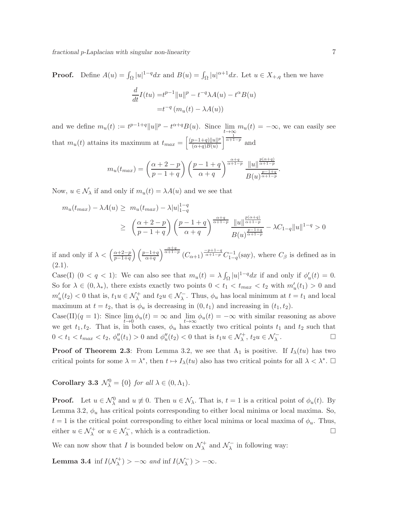**Proof.** Define  $A(u) = \int_{\Omega} |u|^{1-q} dx$  and  $B(u) = \int_{\Omega} |u|^{\alpha+1} dx$ . Let  $u \in X_{+,q}$  then we have

$$
\frac{d}{dt}I(tu) = t^{p-1} ||u||^p - t^{-q} \lambda A(u) - t^{\alpha} B(u)
$$

$$
= t^{-q} (m_u(t) - \lambda A(u))
$$

and we define  $m_u(t) := t^{p-1+q} ||u||^p - t^{\alpha+q} B(u)$ . Since  $\lim_{t \to \infty} m_u(t) = -\infty$ , we can easily see that  $m_u(t)$  attains its maximum at  $t_{max} = \left[\frac{(p-1+q)\|u\|^p}{(\alpha+a)B(u)}\right]$  $\frac{p-1+q}{\alpha+q}$  $\frac{||u||^p}{\alpha+1-p}$  and

$$
m_u(t_{max}) = \left(\frac{\alpha+2-p}{p-1+q}\right) \left(\frac{p-1+q}{\alpha+q}\right)^{\frac{\alpha+q}{\alpha+1-p}} \frac{\|u\|^{\frac{p(\alpha+q)}{\alpha+1-p}}}{B(u)^{\frac{p-1+q}{\alpha+1-p}}}.
$$

Now,  $u \in \mathcal{N}_{\lambda}$  if and only if  $m_u(t) = \lambda A(u)$  and we see that

$$
m_u(t_{max}) - \lambda A(u) \ge m_u(t_{max}) - \lambda |u|_{1-q}^{1-q}
$$
  
 
$$
\ge \left(\frac{\alpha+2-p}{p-1+q}\right) \left(\frac{p-1+q}{\alpha+q}\right)^{\frac{\alpha+q}{\alpha+1-p}} \frac{||u||^{\frac{p(\alpha+q)}{\alpha+1-p}}}{B(u)^{\frac{p-1+q}{\alpha+1-p}}} - \lambda C_{1-q} ||u||^{1-q} > 0
$$

if and only if  $\lambda < \left(\frac{\alpha+2-p}{p-1+p}\right)$  $\frac{\alpha+2-p}{p-1+q}$   $\left(\frac{p-1+q}{\alpha+q}\right)^{\frac{\alpha+q}{\alpha+1-p}}$   $(C_{\alpha+1})^{\frac{-p+1-q}{\alpha+1-p}}$   $C_{1-q}^{-1}$  (say), where  $C_{\beta}$  is defined as in  $(2.1).$ 

Case(I)  $(0 < q < 1)$ : We can also see that  $m_u(t) = \lambda \int_{\Omega} |u|^{1-q} dx$  if and only if  $\phi'_u(t) = 0$ . So for  $\lambda \in (0, \lambda_*)$ , there exists exactly two points  $0 < t_1 < t_{max} < t_2$  with  $m'_u(t_1) > 0$  and  $m'_u(t_2) < 0$  that is,  $t_1u \in \mathcal{N}^+_{\lambda}$  and  $t_2u \in \mathcal{N}^-_{\lambda}$ . Thus,  $\phi_u$  has local minimum at  $t = t_1$  and local maximum at  $t = t_2$ , that is  $\phi_u$  is decreasing in  $(0, t_1)$  and increasing in  $(t_1, t_2)$ .

Case(II)(q = 1): Since  $\lim_{t\to 0} \phi_u(t) = \infty$  and  $\lim_{t\to\infty} \phi_u(t) = -\infty$  with similar reasoning as above we get  $t_1, t_2$ . That is, in both cases,  $\phi_u$  has exactly two critical points  $t_1$  and  $t_2$  such that  $0 < t_1 < t_{max} < t_2, \, \phi_u''(t_1) > 0$  and  $\phi_u''(t_2) < 0$  that is  $t_1 u \in \mathcal{N}_{\lambda}^+, t_2 u \in \mathcal{N}_{\lambda}^-$ . — Пример, на пример, на пример, на пример, на пример, на пример, на пример, на пример, на пример, на пример,<br>В село на пример, на пример, на пример, на пример, на пример, на пример, на пример, на пример, на пример, на п

**Proof of Theorem 2.3**: From Lemma 3.2, we see that  $\Lambda_1$  is positive. If  $I_{\lambda}(tu)$  has two critical points for some  $\lambda = \lambda^*$ , then  $t \mapsto I_\lambda(tu)$  also has two critical points for all  $\lambda < \lambda^*$ .

Corollary 3.3  $\mathcal{N}_{\lambda}^{0} = \{0\}$  *for all*  $\lambda \in (0, \Lambda_1)$ *.* 

**Proof.** Let  $u \in \mathcal{N}_{\lambda}^0$  and  $u \not\equiv 0$ . Then  $u \in \mathcal{N}_{\lambda}$ . That is,  $t = 1$  is a critical point of  $\phi_u(t)$ . By Lemma 3.2,  $\phi_u$  has critical points corresponding to either local minima or local maxima. So,  $t = 1$  is the critical point corresponding to either local minima or local maxima of  $\phi_u$ . Thus, either  $u \in \mathcal{N}_{\lambda}^+$  or  $u \in \mathcal{N}_{\lambda}^-$ , which is a contradiction.

We can now show that I is bounded below on  $\mathcal{N}_{\lambda}^{+}$  $\chi^+$  and  $\mathcal{N}^ \lambda$  in following way:

**Lemma 3.4** inf  $I(\mathcal{N}_{\lambda}^+)$  $\chi^{(+)}$ ) >  $-\infty$  *and* inf  $I(\mathcal{N}_{\lambda}^{-})$  $\binom{2}{\lambda} > -\infty$ .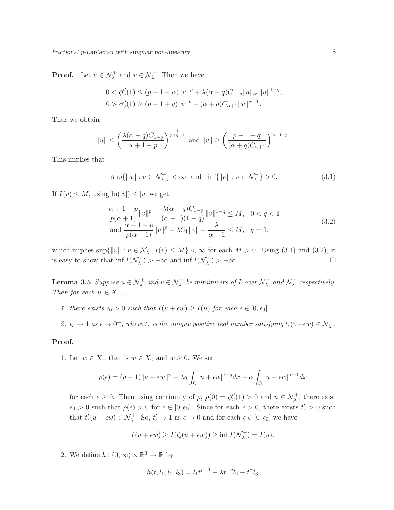**Proof.** Let  $u \in \mathcal{N}_{\lambda}^{+}$  and  $v \in \mathcal{N}_{\lambda}^{-}$ . Then we have

$$
0 < \phi_u''(1) \le (p - 1 - \alpha) \|u\|^p + \lambda(\alpha + q)C_{1-q} \|a\|_{\infty} \|u\|^{1-q},
$$
\n
$$
0 > \phi_v''(1) \ge (p - 1 + q) \|v\|^p - (\alpha + q)C_{\alpha + 1} \|v\|^{\alpha + 1}.
$$

Thus we obtain

$$
||u|| \le \left(\frac{\lambda(\alpha+q)C_{1-q}}{\alpha+1-p}\right)^{\frac{1}{p+q-1}} \text{ and } ||v|| \ge \left(\frac{p-1+q}{(\alpha+q)C_{\alpha+1}}\right)^{\frac{1}{\alpha+1-p}}.
$$

This implies that

$$
\sup\{\|u\| : u \in \mathcal{N}_{\lambda}^{+}\} < \infty \quad \text{and} \quad \inf\{\|v\| : v \in \mathcal{N}_{\lambda}^{-}\} > 0. \tag{3.1}
$$

If  $I(v) \leq M$ , using  $\ln(|v|) \leq |v|$  we get

$$
\frac{\alpha+1-p}{p(\alpha+1)}\|v\|^p - \frac{\lambda(\alpha+q)C_{1-q}}{(\alpha+1)(1-q)}\|v\|^{1-q} \le M, \quad 0 < q < 1
$$
  
and 
$$
\frac{\alpha+1-p}{p(\alpha+1)}\|v\|^p - \lambda C_1\|v\| + \frac{\lambda}{\alpha+1} \le M, \quad q = 1.
$$
 (3.2)

which implies  $\sup\{\|v\| : v \in \mathcal{N}_{\lambda}^-, I(v) \leq M\} < \infty$  for each  $M > 0$ . Using (3.1) and (3.2), it is easy to show that inf  $I(\mathcal{N}_{\lambda}^{+})$  $\chi^{(+)}$ ) > - $\infty$  and inf  $I(\mathcal{N}^{-}_{\lambda})$  $\binom{1}{\lambda} > -\infty$ .

Lemma 3.5 *Suppose*  $u \in \mathcal{N}^+_{\lambda}$  and  $v \in \mathcal{N}^-_{\lambda}$  be minimizers of I over  $\mathcal{N}^+_{\lambda}$  $\lambda^+$  and  $\mathcal{N}^-_{\lambda}$ λ *respectively. Then for each*  $w \in X_+$ ,

- *1. there exists*  $\epsilon_0 > 0$  *such that*  $I(u + \epsilon w) \geq I(u)$  *for each*  $\epsilon \in [0, \epsilon_0]$
- 2.  $t_{\epsilon} \to 1$  *as*  $\epsilon \to 0^+$ , where  $t_{\epsilon}$  *is the unique positive real number satisfying*  $t_{\epsilon}(v+\epsilon w) \in \mathcal{N}_{\lambda}^-$ .

#### Proof.

1. Let  $w \in X_+$  that is  $w \in X_0$  and  $w \geq 0$ . We set

$$
\rho(\epsilon) = (p-1) \|u + \epsilon w\|^p + \lambda q \int_{\Omega} |u + \epsilon w|^{1-q} dx - \alpha \int_{\Omega} |u + \epsilon w|^{\alpha+1} dx
$$

for each  $\epsilon \geq 0$ . Then using continuity of  $\rho$ ,  $\rho(0) = \phi''_u(1) > 0$  and  $u \in \mathcal{N}^+_{\lambda}$ , there exist  $\epsilon_0 > 0$  such that  $\rho(\epsilon) > 0$  for  $\epsilon \in [0, \epsilon_0]$ . Since for each  $\epsilon > 0$ , there exists  $t'_\epsilon > 0$  such that  $t'_{\epsilon}(u+\epsilon w) \in \mathcal{N}_{\lambda}^{+}$ . So,  $t'_{\epsilon} \to 1$  as  $\epsilon \to 0$  and for each  $\epsilon \in [0, \epsilon_0]$  we have

$$
I(u + \epsilon w) \ge I(t'_{\epsilon}(u + \epsilon w)) \ge \inf I(\mathcal{N}_{\lambda}^{+}) = I(u).
$$

2. We define  $h:(0,\infty)\times\mathbb{R}^3\to\mathbb{R}$  by

$$
h(t, l_1, l_2, l_3) = l_1 t^{p-1} - \lambda t^{-q} l_2 - t^{\alpha} l_3
$$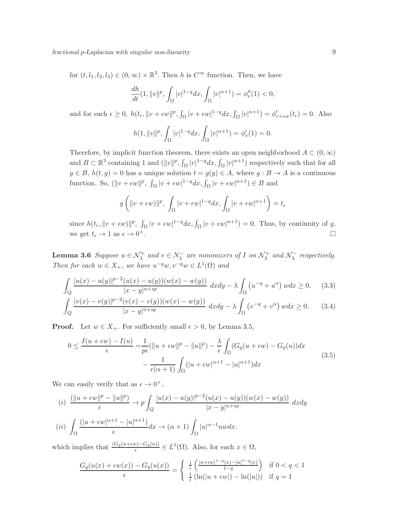for  $(t, l_1, l_2, l_3) \in (0, \infty) \times \mathbb{R}^3$ . Then h is  $C^{\infty}$  function. Then, we have

$$
\frac{dh}{dt}(1, \|v\|^p, \int_{\Omega} |v|^{1-q} dx, \int_{\Omega} |v|^{\alpha+1}) = \phi_v''(1) < 0,
$$

and for each  $\epsilon \geq 0$ ,  $h(t_{\epsilon}, \|v + \epsilon w\|^p$ ,  $\int_{\Omega} |v + \epsilon w|^{1-q} dx$ ,  $\int_{\Omega} |v|^{\alpha+1} = \phi'_{v+\epsilon w}(t_{\epsilon}) = 0$ . Also

$$
h(1, ||v||p, \int_{\Omega} |v|^{1-q} dx, \int_{\Omega} |v|^{\alpha+1}) = \phi'_v(1) = 0.
$$

Therefore, by implicit function theorem, there exists an open neighborhood  $A \subset (0,\infty)$ and  $B \subset \mathbb{R}^3$  containing 1 and  $(\|v\|^p, \int_{\Omega} |v|^{1-q} dx, \int_{\Omega} |v|^{\alpha+1})$  respectively such that for all  $y \in B$ ,  $h(t, y) = 0$  has a unique solution  $t = g(y) \in A$ , where  $g : B \to A$  is a continuous function. So,  $(\|v + \epsilon w\|^p, \int_{\Omega} |v + \epsilon w|^{1-q} dx, \int_{\Omega} |v + \epsilon w|^{\alpha+1}) \in B$  and

$$
g\left(\|v+\epsilon w\|^p,\ \int_{\Omega}|v+\epsilon w|^{1-q}dx,\int_{\Omega}|v+\epsilon w|^{\alpha+1}\right)=t_{\epsilon}
$$

since  $h(t_\epsilon, ||v + \epsilon w||^p$ ,  $\int_{\Omega} |v + \epsilon w|^{1-q} dx$ ,  $\int_{\Omega} |v + \epsilon w|^{\alpha+1} = 0$ . Thus, by continuity of g, we get  $t_{\epsilon} \to 1$  as  $\epsilon \to 0^{+}$ . **+**. □

**Lemma 3.6** *Suppose*  $u \in \mathcal{N}_{\lambda}^+$  *and*  $v \in \mathcal{N}_{\lambda}^ \lambda$  are minimizers of I on  $\mathcal{N}_{\lambda}^{+}$  $\lambda^+$  and  $\mathcal{N}^-_{\lambda}$  $\lambda$ <sup>*respectively.*</sup> *Then for each*  $w \in X_+$ *, we have*  $u^{-q}w, v^{-q}w \in L^1(\Omega)$  *and* 

$$
\int_{Q} \frac{|u(x) - u(y)|^{p-2} (u(x) - u(y))(w(x) - w(y))}{|x - y|^{n+sp}} dx dy - \lambda \int_{\Omega} (u^{-q} + u^{\alpha}) w dx \ge 0, \quad (3.3)
$$

$$
\int_{Q} \frac{|v(x) - v(y)|^{p-2}(v(x) - v(y))(w(x) - w(y))}{|x - y|^{n+sp}} dxdy - \lambda \int_{\Omega} (v^{-q} + v^{\alpha}) w dx \ge 0.
$$
 (3.4)

**Proof.** Let  $w \in X_+$ . For sufficiently small  $\epsilon > 0$ , by Lemma 3.5,

$$
0 \le \frac{I(u + \epsilon w) - I(u)}{\epsilon} = \frac{1}{p\epsilon} (\|u + \epsilon w\|^p - \|u\|^p) - \frac{\lambda}{\epsilon} \int_{\Omega} (G_q(u + \epsilon w) - G_q(u)) dx
$$
  

$$
- \frac{1}{\epsilon(\alpha + 1)} \int_{\Omega} (|u + \epsilon w|^{\alpha + 1} - |u|^{\alpha + 1}) dx
$$
\n(3.5)

We can easily verify that as  $\epsilon \to 0^+,$ 

$$
(i) \frac{(\|u + \epsilon w\|^p - \|u\|^p)}{\epsilon} \to p \int_Q \frac{|u(x) - u(y)|^{p-2}(u(x) - u(y))(w(x) - w(y))}{|x - y|^{n + sp}} dx dy
$$

$$
(ii) \int_\Omega \frac{(|u + \epsilon w|^{\alpha + 1} - |u|^{\alpha + 1})}{\epsilon} dx \to (\alpha + 1) \int_\Omega |u|^{\alpha - 1} u w dx.
$$

which implies that  $\frac{(G_q(u+\epsilon w)-G_q(u))}{\epsilon} \in L^1(\Omega)$ . Also, for each  $x \in \Omega$ ,

$$
\frac{G_q(u(x) + \epsilon w(x)) - G_q(u(x))}{\epsilon} = \begin{cases} \frac{1}{\epsilon} \left( \frac{|u + \epsilon w|^{1-q}(x) - |u|^{1-q}(x)}{1-q} \right) & \text{if } 0 < q < 1\\ \frac{1}{\epsilon} \left( \ln(|u + \epsilon w|) - \ln(|u|) \right) & \text{if } q = 1 \end{cases}
$$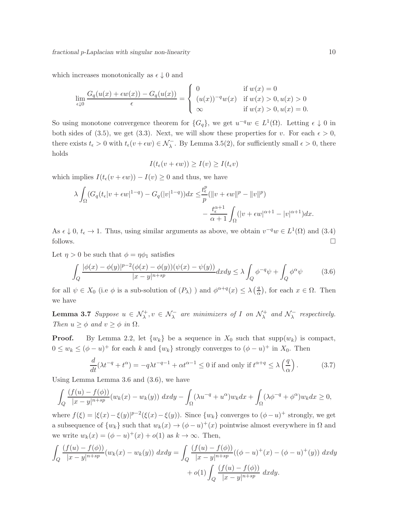which increases monotonically as  $\epsilon \downarrow 0$  and

$$
\lim_{\epsilon \downarrow 0} \frac{G_q(u(x) + \epsilon w(x)) - G_q(u(x))}{\epsilon} = \begin{cases} 0 & \text{if } w(x) = 0\\ (u(x))^{-q} w(x) & \text{if } w(x) > 0, u(x) > 0\\ \infty & \text{if } w(x) > 0, u(x) = 0. \end{cases}
$$

So using monotone convergence theorem for  $\{G_q\}$ , we get  $u^{-q}w \in L^1(\Omega)$ . Letting  $\epsilon \downarrow 0$  in both sides of (3.5), we get (3.3). Next, we will show these properties for v. For each  $\epsilon > 0$ , there exists  $t_{\epsilon} > 0$  with  $t_{\epsilon}(v + \epsilon w) \in \mathcal{N}_{\lambda}^{-}$ . By Lemma 3.5(2), for sufficiently small  $\epsilon > 0$ , there holds

$$
I(t_{\epsilon}(v+\epsilon w)) \ge I(v) \ge I(t_{\epsilon}v)
$$

which implies  $I(t_{\epsilon}(v + \epsilon w)) - I(v) \geq 0$  and thus, we have

$$
\lambda \int_{\Omega} (G_q(t_{\epsilon}|v+\epsilon w|^{1-q}) - G_q(|v|^{1-q})) dx \leq \frac{t_{\epsilon}^p}{p} (\|v+\epsilon w\|^p - \|v\|^p) - \frac{t_{\epsilon}^{\alpha+1}}{\alpha+1} \int_{\Omega} (|v+\epsilon w|^{\alpha+1} - |v|^{\alpha+1}) dx.
$$

As  $\epsilon \downarrow 0$ ,  $t_{\epsilon} \to 1$ . Thus, using similar arguments as above, we obtain  $v^{-q}w \in L^{1}(\Omega)$  and (3.4) follows.  $\Box$ 

Let  $\eta > 0$  be such that  $\phi = \eta \phi_1$  satisfies

$$
\int_{Q} \frac{|\phi(x) - \phi(y)|^{p-2}(\phi(x) - \phi(y))(\psi(x) - \psi(y))}{|x - y|^{n+sp}} dx dy \le \lambda \int_{Q} \phi^{-q} \psi + \int_{Q} \phi^{\alpha} \psi \tag{3.6}
$$

for all  $\psi \in X_0$  (i.e  $\phi$  is a sub-solution of  $(P_\lambda)$ ) and  $\phi^{\alpha+q}(x) \leq \lambda \left(\frac{q}{\alpha}\right)$  $\frac{q}{\alpha}$ , for each  $x \in \Omega$ . Then we have

**Lemma 3.7** *Suppose*  $u \in \mathcal{N}_{\lambda}^+, v \in \mathcal{N}_{\lambda}^-$  are minimizers of I on  $\mathcal{N}_{\lambda}^+$  $\lambda^+$  and  $\mathcal{N}^-_{\lambda}$  $\lambda$ <sup>*respectively.*</sup> *Then*  $u \geq \phi$  *and*  $v \geq \phi$  *in*  $\Omega$ *.* 

**Proof.** By Lemma 2.2, let  $\{w_k\}$  be a sequence in  $X_0$  such that supp $(w_k)$  is compact,  $0 \leq w_k \leq (\phi - u)^+$  for each k and  $\{w_k\}$  strongly converges to  $(\phi - u)^+$  in  $X_0$ . Then

$$
\frac{d}{dt}(\lambda t^{-q} + t^{\alpha}) = -q\lambda t^{-q-1} + \alpha t^{\alpha - 1} \le 0 \text{ if and only if } t^{\alpha + q} \le \lambda \left(\frac{q}{\alpha}\right). \tag{3.7}
$$

Using Lemma Lemma 3.6 and (3.6), we have

$$
\int_{Q} \frac{(f(u) - f(\phi))}{|x - y|^{n + sp}} (w_k(x) - w_k(y)) dx dy - \int_{\Omega} (\lambda u^{-q} + u^{\alpha}) w_k dx + \int_{\Omega} (\lambda \phi^{-q} + \phi^{\alpha}) w_k dx \ge 0,
$$

where  $f(\xi) = |\xi(x) - \xi(y)|^{p-2} (\xi(x) - \xi(y))$ . Since  $\{w_k\}$  converges to  $(\phi - u)^+$  strongly, we get a subsequence of  $\{w_k\}$  such that  $w_k(x) \to (\phi - u)^+(x)$  pointwise almost everywhere in  $\Omega$  and we write  $w_k(x) = (\phi - u)^+(x) + o(1)$  as  $k \to \infty$ . Then,

$$
\int_{Q} \frac{(f(u) - f(\phi))}{|x - y|^{n + sp}} (w_k(x) - w_k(y)) \, dxdy = \int_{Q} \frac{(f(u) - f(\phi))}{|x - y|^{n + sp}} ((\phi - u)^{+}(x) - (\phi - u)^{+}(y)) \, dxdy
$$

$$
+ o(1) \int_{Q} \frac{(f(u) - f(\phi))}{|x - y|^{n + sp}} \, dxdy.
$$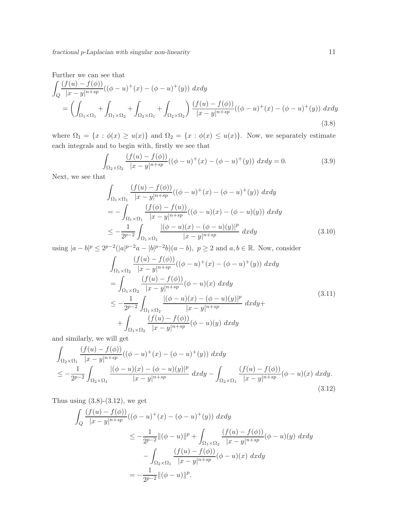Further we can see that

$$
\int_{Q} \frac{(f(u) - f(\phi))}{|x - y|^{n + sp}} ((\phi - u)^{+}(x) - (\phi - u)^{+}(y)) dx dy
$$
\n
$$
= \left( \int_{\Omega_1 \times \Omega_1} + \int_{\Omega_1 \times \Omega_2} + \int_{\Omega_2 \times \Omega_1} + \int_{\Omega_2 \times \Omega_2} \right) \frac{(f(u) - f(\phi))}{|x - y|^{n + sp}} ((\phi - u)^{+}(x) - (\phi - u)^{+}(y)) dx dy
$$
\n(3.8)

where  $\Omega_1 = \{x : \phi(x) \ge u(x)\}\$  and  $\Omega_2 = \{x : \phi(x) \le u(x)\}\$ . Now, we separately estimate each integrals and to begin with, firstly we see that

$$
\int_{\Omega_2 \times \Omega_2} \frac{(f(u) - f(\phi))}{|x - y|^{n + sp}} ((\phi - u)^{+}(x) - (\phi - u)^{+}(y)) dx dy = 0.
$$
\n(3.9)

Next, we see that

$$
\int_{\Omega_1 \times \Omega_1} \frac{(f(u) - f(\phi))}{|x - y|^{n + sp}} ((\phi - u)^{+}(x) - (\phi - u)^{+}(y)) dx dy
$$
\n
$$
= - \int_{\Omega_1 \times \Omega_1} \frac{(f(\phi) - f(u))}{|x - y|^{n + sp}} ((\phi - u)(x) - (\phi - u)(y)) dx dy
$$
\n
$$
\leq - \frac{1}{2^{p-2}} \int_{\Omega_1 \times \Omega_1} \frac{|(\phi - u)(x) - (\phi - u)(y)|^p}{|x - y|^{n + sp}} dx dy \tag{3.10}
$$

using  $|a - b|^p \le 2^{p-2} (|a|^{p-2}a - |b|^{p-2}b)(a - b)$ ,  $p \ge 2$  and  $a, b \in \mathbb{R}$ . Now, consider

$$
\int_{\Omega_1 \times \Omega_2} \frac{(f(u) - f(\phi))}{|x - y|^{n + sp}} ((\phi - u)^{+}(x) - (\phi - u)^{+}(y)) dx dy
$$
\n
$$
= \int_{\Omega_1 \times \Omega_2} \frac{(f(u) - f(\phi))}{|x - y|^{n + sp}} (\phi - u)(x) dx dy
$$
\n
$$
\leq -\frac{1}{2^{p-2}} \int_{\Omega_1 \times \Omega_2} \frac{|(\phi - u)(x) - (\phi - u)(y)|^p}{|x - y|^{n + sp}} dx dy +
$$
\n
$$
+ \int_{\Omega_1 \times \Omega_2} \frac{(f(u) - f(\phi))}{|x - y|^{n + sp}} (\phi - u)(y) dx dy
$$
\n
$$
\dots \tag{3.11}
$$

and similarly, we will get

$$
\int_{\Omega_2 \times \Omega_1} \frac{(f(u) - f(\phi))}{|x - y|^{n + sp}} ((\phi - u)^{+}(x) - (\phi - u)^{+}(y)) dx dy
$$
\n
$$
\leq -\frac{1}{2^{p-2}} \int_{\Omega_2 \times \Omega_1} \frac{|(\phi - u)(x) - (\phi - u)(y)|^p}{|x - y|^{n + sp}} dx dy - \int_{\Omega_2 \times \Omega_1} \frac{(f(u) - f(\phi))}{|x - y|^{n + sp}} (\phi - u)(x) dx dy.
$$
\n(3.12)

Thus using  $(3.8)-(3.12)$ , we get

$$
\int_{Q} \frac{(f(u) - f(\phi))}{|x - y|^{n + sp}} ((\phi - u)^{+}(x) - (\phi - u)^{+}(y)) dx dy
$$
\n
$$
\leq -\frac{1}{2^{p-2}} ||(\phi - u)||^{p} + \int_{\Omega_{1} \times \Omega_{2}} \frac{(f(u) - f(\phi))}{|x - y|^{n + sp}} (\phi - u)(y) dx dy
$$
\n
$$
- \int_{\Omega_{2} \times \Omega_{1}} \frac{(f(u) - f(\phi))}{|x - y|^{n + sp}} (\phi - u)(x) dx dy
$$
\n
$$
= -\frac{1}{2^{p-2}} ||(\phi - u)||^{p}.
$$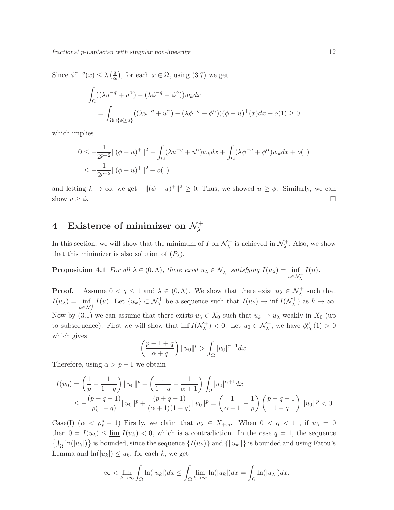Since  $\phi^{\alpha+q}(x) \leq \lambda \left(\frac{q}{\alpha}\right)$  $\frac{q}{\alpha}$ , for each  $x \in \Omega$ , using  $(3.7)$  we get

$$
\int_{\Omega} ((\lambda u^{-q} + u^{\alpha}) - (\lambda \phi^{-q} + \phi^{\alpha})) w_k dx
$$
\n
$$
= \int_{\Omega \cap {\phi \geq u}} ((\lambda u^{-q} + u^{\alpha}) - (\lambda \phi^{-q} + \phi^{\alpha})) (\phi - u)^{+}(x) dx + o(1) \geq 0
$$

which implies

$$
0 \le -\frac{1}{2^{p-2}} \| (\phi - u)^+ \|^2 - \int_{\Omega} (\lambda u^{-q} + u^{\alpha}) w_k dx + \int_{\Omega} (\lambda \phi^{-q} + \phi^{\alpha}) w_k dx + o(1)
$$
  

$$
\le -\frac{1}{2^{p-2}} \| (\phi - u)^+ \|^2 + o(1)
$$

and letting  $k \to \infty$ , we get  $-\|(\phi - u)^+\|^2 \geq 0$ . Thus, we showed  $u \geq \phi$ . Similarly, we can show  $v \geq \phi$ .

# $4$  Existence of minimizer on  $\mathcal{N}_{\lambda}^{+}$

In this section, we will show that the minimum of I on  $\mathcal{N}_{\lambda}^{+}$  $\lambda^+$  is achieved in  $\mathcal{N}^+_\lambda$  $\lambda^+$ . Also, we show that this minimizer is also solution of  $(P_\lambda)$ .

**Proposition 4.1** *For all*  $\lambda \in (0, \Lambda)$ *, there exist*  $u_{\lambda} \in \mathcal{N}_{\lambda}^{+}$  *satisfying*  $I(u_{\lambda}) = \inf_{u \in \mathcal{N}_{\lambda}^{+}}$  $I(u)$ .

**Proof.** Assume  $0 < q \leq 1$  and  $\lambda \in (0, \Lambda)$ . We show that there exist  $u_{\lambda} \in \mathcal{N}_{\lambda}^{+}$  such that  $I(u_\lambda) = \inf_{u \in \mathcal{N}^+_\lambda}$  $I(u)$ . Let  $\{u_k\} \subset \mathcal{N}_{\lambda}^+$  be a sequence such that  $I(u_k) \to \inf I(\mathcal{N}_{\lambda}^+)$  $\lambda^{+}$ ) as  $k \to \infty$ . Now by (3.1) we can assume that there exists  $u_{\lambda} \in X_0$  such that  $u_k \to u_{\lambda}$  weakly in  $X_0$  (up to subsequence). First we will show that inf  $I(\mathcal{N}_{\lambda}^+)$  $(\lambda^+)<0$ . Let  $u_0 \in \mathcal{N}^+_{\lambda}$ , we have  $\phi''_{u_0}(1)>0$ which gives

$$
\left(\frac{p-1+q}{\alpha+q}\right) \|u_0\|^p > \int_{\Omega} |u_0|^{\alpha+1} dx.
$$

Therefore, using  $\alpha > p - 1$  we obtain

$$
I(u_0) = \left(\frac{1}{p} - \frac{1}{1-q}\right) \|u_0\|^p + \left(\frac{1}{1-q} - \frac{1}{\alpha+1}\right) \int_{\Omega} |u_0|^{\alpha+1} dx
$$
  

$$
\leq -\frac{(p+q-1)}{p(1-q)} \|u_0\|^p + \frac{(p+q-1)}{(\alpha+1)(1-q)} \|u_0\|^p = \left(\frac{1}{\alpha+1} - \frac{1}{p}\right) \left(\frac{p+q-1}{1-q}\right) \|u_0\|^p < 0
$$

Case(I)  $(\alpha \langle p_s^* - 1)$  Firstly, we claim that  $u_\lambda \in X_{+,q}$ . When  $0 \langle q \langle 1, i \mid u_\lambda = 0 \rangle$ then  $0 = I(u_\lambda) \le \underline{\lim} I(u_k) < 0$ , which is a contradiction. In the case  $q = 1$ , the sequence  $\{\int_{\Omega} \ln(|u_k|)\}\$  is bounded, since the sequence  $\{I(u_k)\}\$  and  $\{\|u_k\|\}\$  is bounded and using Fatou's Lemma and  $\ln(|u_k|) \leq u_k$ , for each k, we get

$$
-\infty < \overline{\lim_{k \to \infty}} \int_{\Omega} \ln(|u_k|) dx \le \int_{\Omega} \overline{\lim_{k \to \infty}} \ln(|u_k|) dx = \int_{\Omega} \ln(|u_\lambda|) dx.
$$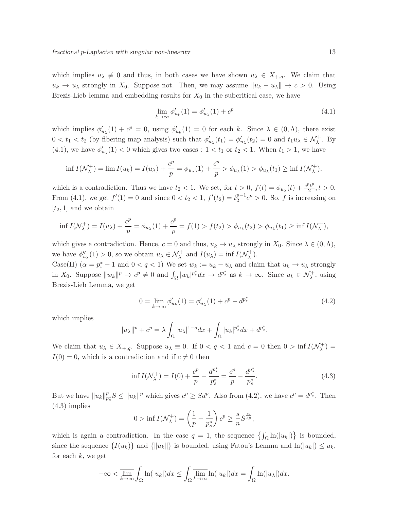which implies  $u_{\lambda} \neq 0$  and thus, in both cases we have shown  $u_{\lambda} \in X_{+,q}$ . We claim that  $u_k \to u_\lambda$  strongly in  $X_0$ . Suppose not. Then, we may assume  $\|u_k - u_\lambda\| \to c > 0$ . Using Brezis-Lieb lemma and embedding results for  $X_0$  in the subcritical case, we have

$$
\lim_{k \to \infty} \phi'_{u_k}(1) = \phi'_{u_\lambda}(1) + c^p \tag{4.1}
$$

which implies  $\phi'_{u_{\lambda}}(1) + c^p = 0$ , using  $\phi'_{u_k}(1) = 0$  for each k. Since  $\lambda \in (0, \Lambda)$ , there exist  $0 < t_1 < t_2$  (by fibering map analysis) such that  $\phi'_{u_\lambda}(t_1) = \phi'_{u_\lambda}(t_2) = 0$  and  $t_1 u_\lambda \in \mathcal{N}^+_\lambda$ . By (4.1), we have  $\phi'_{u_{\lambda}}(1) < 0$  which gives two cases :  $1 < t_1$  or  $t_2 < 1$ . When  $t_1 > 1$ , we have

$$
\inf I(\mathcal{N}_{\lambda}^+) = \lim I(u_k) = I(u_{\lambda}) + \frac{c^p}{p} = \phi_{u_{\lambda}}(1) + \frac{c^p}{p} > \phi_{u_{\lambda}}(1) > \phi_{u_{\lambda}}(t_1) \ge \inf I(\mathcal{N}_{\lambda}^+),
$$

which is a contradiction. Thus we have  $t_2 < 1$ . We set, for  $t > 0$ ,  $f(t) = \phi_{u_\lambda}(t) + \frac{c^p t^p}{2}$  $\frac{2t^p}{2}, t > 0.$ From (4.1), we get  $f'(1) = 0$  and since  $0 < t_2 < 1$ ,  $f'(t_2) = t_2^{p-1}$  $p^{-1}c^p > 0$ . So, f is increasing on  $[t_2, 1]$  and we obtain

$$
\inf I(\mathcal{N}_{\lambda}^{+}) = I(u_{\lambda}) + \frac{c^{p}}{p} = \phi_{u_{\lambda}}(1) + \frac{c^{p}}{p} = f(1) > f(t_{2}) > \phi_{u_{\lambda}}(t_{2}) > \phi_{u_{\lambda}}(t_{1}) \ge \inf I(\mathcal{N}_{\lambda}^{+}),
$$

which gives a contradiction. Hence,  $c = 0$  and thus,  $u_k \to u_\lambda$  strongly in  $X_0$ . Since  $\lambda \in (0, \Lambda)$ , we have  $\phi''_{u_\lambda}(1) > 0$ , so we obtain  $u_\lambda \in \mathcal{N}^+_\lambda$  and  $I(u_\lambda) = \inf I(\mathcal{N}^+_\lambda)$  $\lambda^{+}$ ).

Case(II)  $(\alpha = p_s^* - 1 \text{ and } 0 < q < 1)$  We set  $w_k := u_k - u_\lambda$  and claim that  $u_k \to u_\lambda$  strongly in  $X_0$ . Suppose  $||w_k||^p \to c^p \neq 0$  and  $\int_{\Omega} |w_k|^{p^*_s} dx \to d^{p^*_s}$  as  $k \to \infty$ . Since  $u_k \in \mathcal{N}^{\perp}_{\lambda}$ , using Brezis-Lieb Lemma, we get

$$
0 = \lim_{k \to \infty} \phi'_{u_k}(1) = \phi'_{u_\lambda}(1) + c^p - d^{p^*_s}
$$
\n(4.2)

which implies

$$
||u_\lambda||^p + c^p = \lambda \int_{\Omega} |u_\lambda|^{1-q} dx + \int_{\Omega} |u_k|^{p_s^*} dx + d^{p_s^*}.
$$

We claim that  $u_{\lambda} \in X_{+,q}$ . Suppose  $u_{\lambda} \equiv 0$ . If  $0 < q < 1$  and  $c = 0$  then  $0 > \inf I(\mathcal{N}_{\lambda}^+)$  $\lambda^{+}$ ) =  $I(0) = 0$ , which is a contradiction and if  $c \neq 0$  then

$$
\inf I(\mathcal{N}_{\lambda}^{+}) = I(0) + \frac{c^{p}}{p} - \frac{d^{p_{s}^{*}}}{p_{s}^{*}} = \frac{c^{p}}{p} - \frac{d^{p_{s}^{*}}}{p_{s}^{*}}.
$$
\n(4.3)

But we have  $||u_k||_p^p$  $_{p_s^*}^p S \le ||u_k||^p$  which gives  $c^p \ge S d^p$ . Also from (4.2), we have  $c^p = d^{p_s^*}$ . Then (4.3) implies

$$
0 > \inf I(\mathcal{N}_{\lambda}^+) = \left(\frac{1}{p} - \frac{1}{p_s^*}\right)c^p \ge \frac{s}{n}S^{\frac{n}{sp}},
$$

which is again a contradiction. In the case  $q = 1$ , the sequence  $\{\int_{\Omega} \ln(|u_k|)\}$  is bounded, since the sequence  $\{I(u_k)\}\$ and  $\{\|u_k\|\}\$ is bounded, using Fatou's Lemma and  $\ln(|u_k|) \leq u_k$ , for each  $k$ , we get

$$
-\infty < \overline{\lim_{k \to \infty}} \int_{\Omega} \ln(|u_k|) dx \le \int_{\Omega} \overline{\lim_{k \to \infty}} \ln(|u_k|) dx = \int_{\Omega} \ln(|u_\lambda|) dx.
$$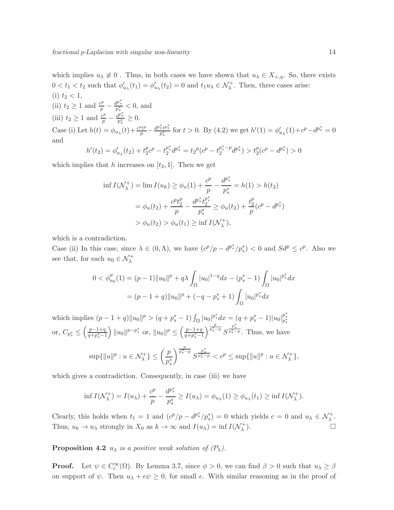which implies  $u_{\lambda} \neq 0$ . Thus, in both cases we have shown that  $u_{\lambda} \in X_{+,q}$ . So, there exists  $0 < t_1 < t_2$  such that  $\phi'_{u_\lambda}(t_1) = \phi'_{u_\lambda}(t_2) = 0$  and  $t_1 u_\lambda \in \mathcal{N}^+_{\lambda}$ . Then, three cases arise: (i)  $t_2 < 1$ ,

(ii)  $t_2 \ge 1$  and  $\frac{c^p}{p} - \frac{d^{p^*_s}}{p^*_s} < 0$ , and (iii)  $t_2 \ge 1$  and  $\frac{c^p}{p} - \frac{d^{p^*_s}}{p^*_s} \ge 0$ . Case (i) Let  $h(t) = \phi_{u_\lambda}(t) + \frac{c^p t^p}{p} - \frac{d^{p^*_s} t^{p^*_s}}{p^*_s}$  for  $t > 0$ . By (4.2) we get  $h'(1) = \phi'_{u_\lambda}(1) + c^p - d^{p^*_s} = 0$ and

$$
h'(t_2) = \phi'_{u_\lambda}(t_2) + t_2^p c^p - t_2^{p^*_s} d^{p^*_s} = t_2^p (c^p - t_2^{p^*_s - p} d^{p^*_s}) > t_2^p (c^p - d^{p^*_s}) > 0
$$

which implies that h increases on  $[t_2, 1]$ . Then we get

$$
\inf I(\mathcal{N}_{\lambda}^{+}) = \lim I(u_{k}) \ge \phi_{u}(1) + \frac{c^{p}}{p} - \frac{d^{p_{s}^{*}}}{p_{s}^{*}} = h(1) > h(t_{2})
$$

$$
= \phi_{u}(t_{2}) + \frac{c^{p}t_{2}^{p}}{p} - \frac{d^{p_{s}^{*}}t_{2}^{p_{s}^{*}}}{p_{s}^{*}} \ge \phi_{u}(t_{2}) + \frac{t_{2}^{p}}{p}(c^{p} - d^{p_{s}^{*}})
$$

$$
> \phi_{u}(t_{2}) > \phi_{u}(t_{1}) \ge \inf I(\mathcal{N}_{\lambda}^{+}),
$$

which is a contradiction.

Case (ii) In this case, since  $\lambda \in (0, \Lambda)$ , we have  $(c^p/p - d^{p^*_s}/p^*_s) < 0$  and  $Sd^p \le c^p$ . Also we see that, for each  $u_0 \in \mathcal{N}^+_\lambda$ 

$$
0 < \phi_{u_0}^{\prime\prime}(1) = (p-1) \|u_0\|^p + q\lambda \int_{\Omega} |u_0|^{1-q} dx - (p_s^* - 1) \int_{\Omega} |u_0|^{p_s^*} dx
$$
\n
$$
= (p - 1 + q) \|u_0\|^p + (-q - p_s^* + 1) \int_{\Omega} |u_0|^{p_s^*} dx
$$

which implies  $(p - 1 + q) \|u_0\|^p > (q + p_s^* - 1) \int_{\Omega} |u_0|^{p_s^*} dx = (q + p_s^* - 1) |u_0|_{p_s^*}^{p_s^*}$ or,  $C_{p_s^*} \leq \left(\frac{p-1+q}{q+p_s^*-1}\right)$  $q+p_s^*-1$ )  $||u_0||^{p-p_s^*}$  or,  $||u_0||^p \leq \left(\frac{p-1+q}{q+p^*-1}\right)$  $q+p_s^* - 1$  $\int_{\frac{p_s^*}{p_s^* - p}}^{\frac{p}{p_s^*} - p} S^{\frac{p_s^*}{p_s^* - p}}$ . Thus, we have

$$
\sup\{\|u\|^p: u \in \mathcal{N}_{\lambda}^+\} \le \left(\frac{p}{p_s^*}\right)^{\frac{p}{p_s^*-p}} S^{\frac{p_s^*}{p_s^*-p}} < c^p \le \sup\{\|u\|^p: u \in \mathcal{N}_{\lambda}^+\},\
$$

which gives a contradiction. Consequently, in case (iii) we have

$$
\inf I(\mathcal{N}_{\lambda}^+) = I(u_{\lambda}) + \frac{c^p}{p} - \frac{d^{p^*}}{p^*_{s}} \ge I(u_{\lambda}) = \phi_{u_{\lambda}}(1) \ge \phi_{u_{\lambda}}(t_1) \ge \inf I(\mathcal{N}_{\lambda}^+).
$$

Clearly, this holds when  $t_1 = 1$  and  $(c^p/p - d^{p^*_s}/p^*_s) = 0$  which yields  $c = 0$  and  $u_\lambda \in \mathcal{N}^+_\lambda$ . Thus,  $u_k \to u_\lambda$  strongly in  $X_0$  as  $k \to \infty$  and  $I(u_\lambda) = \inf I(\mathcal{N}_{\lambda}^+)$ λ ).  $\qquad \qquad \Box$ 

**Proposition 4.2**  $u_{\lambda}$  *is a positive weak solution of*  $(P_{\lambda})$ *.* 

**Proof.** Let  $\psi \in C_c^{\infty}(\Omega)$ . By Lemma 3.7, since  $\phi > 0$ , we can find  $\beta > 0$  such that  $u_{\lambda} \ge \beta$ on support of  $\psi$ . Then  $u_{\lambda} + \epsilon \psi \geq 0$ , for small  $\epsilon$ . With similar reasoning as in the proof of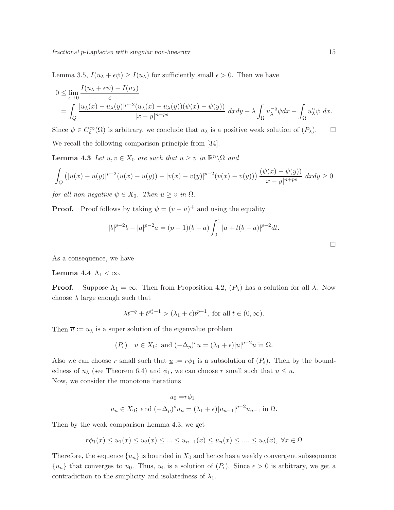Lemma 3.5,  $I(u_\lambda + \epsilon \psi) \geq I(u_\lambda)$  for sufficiently small  $\epsilon > 0$ . Then we have

$$
0 \leq \lim_{\epsilon \to 0} \frac{I(u_{\lambda} + \epsilon \psi) - I(u_{\lambda})}{\epsilon}
$$
  
= 
$$
\int_{Q} \frac{|u_{\lambda}(x) - u_{\lambda}(y)|^{p-2} (u_{\lambda}(x) - u_{\lambda}(y)) (\psi(x) - \psi(y))}{|x - y|^{n + ps}} dxdy - \lambda \int_{\Omega} u_{\lambda}^{-q} \psi dx - \int_{\Omega} u_{\lambda}^{\alpha} \psi dx.
$$

Since  $\psi \in C_c^{\infty}(\Omega)$  is arbitrary, we conclude that  $u_\lambda$  is a positive weak solution of  $(P_\lambda)$ .  $\Box$ We recall the following comparison principle from [34].

**Lemma 4.3** *Let*  $u, v \in X_0$  *are such that*  $u \geq v$  *in*  $\mathbb{R}^n \setminus \Omega$  *and* 

$$
\int_{Q} (|u(x) - u(y)|^{p-2} (u(x) - u(y)) - |v(x) - v(y)|^{p-2} (v(x) - v(y))) \frac{(\psi(x) - \psi(y))}{|x - y|^{n+ps}} dx dy \ge 0
$$

*for all non-negative*  $\psi \in X_0$ *. Then*  $u \geq v$  *in*  $\Omega$ *.* 

**Proof.** Proof follows by taking  $\psi = (v - u)^+$  and using the equality

$$
|b|^{p-2}b - |a|^{p-2}a = (p-1)(b-a)\int_0^1 |a+t(b-a)|^{p-2}dt.
$$

As a consequence, we have

#### Lemma 4.4  $\Lambda_1 < \infty$ .

**Proof.** Suppose  $\Lambda_1 = \infty$ . Then from Proposition 4.2,  $(P_\lambda)$  has a solution for all  $\lambda$ . Now choose  $\lambda$  large enough such that

$$
\lambda t^{-q}+t^{p^*_s-1}>(\lambda_1+\epsilon)t^{p-1}, \text{ for all } t\in (0,\infty).
$$

Then  $\overline{u} := u_{\lambda}$  is a super solution of the eigenvalue problem

$$
(P_{\epsilon})
$$
  $u \in X_0$ ; and  $(-\Delta_p)^s u = (\lambda_1 + \epsilon)|u|^{p-2}u$  in  $\Omega$ .

Also we can choose r small such that  $\underline{u} := r\phi_1$  is a subsolution of  $(P_\epsilon)$ . Then by the boundedness of  $u_\lambda$  (see Theorem 6.4) and  $\phi_1$ , we can choose r small such that  $u \leq \overline{u}$ . Now, we consider the monotone iterations

$$
u_0 = r\phi_1
$$
  
 $u_n \in X_0$ ; and  $(-\Delta_p)^s u_n = (\lambda_1 + \epsilon)|u_{n-1}|^{p-2}u_{n-1}$  in  $\Omega$ .

Then by the weak comparison Lemma 4.3, we get

$$
r\phi_1(x) \le u_1(x) \le u_2(x) \le \dots \le u_{n-1}(x) \le u_n(x) \le \dots \le u_{\lambda}(x), \ \forall x \in \Omega
$$

Therefore, the sequence  $\{u_n\}$  is bounded in  $X_0$  and hence has a weakly convergent subsequence  $\{u_n\}$  that converges to  $u_0$ . Thus,  $u_0$  is a solution of  $(P_\epsilon)$ . Since  $\epsilon > 0$  is arbitrary, we get a contradiction to the simplicity and isolatedness of  $\lambda_1$ .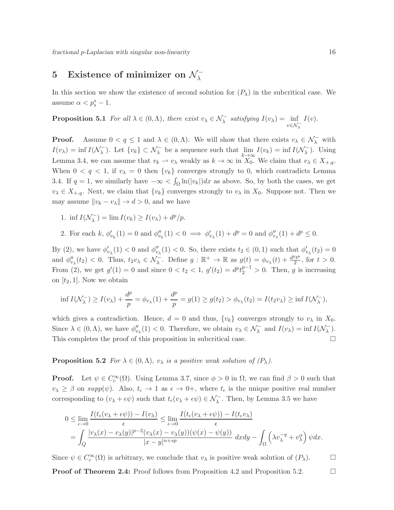# 5 Existence of minimizer on  $\mathcal{N}_{\lambda}^{-}$

In this section we show the existence of second solution for  $(P_\lambda)$  in the subcritical case. We assume  $\alpha < p_s^* - 1$ .

**Proposition 5.1** For all 
$$
\lambda \in (0, \Lambda)
$$
, there exist  $v_{\lambda} \in \mathcal{N}_{\lambda}^-$  satisfying  $I(v_{\lambda}) = \inf_{v \in \mathcal{N}_{\lambda}^-} I(v)$ .

**Proof.** Assume  $0 < q \leq 1$  and  $\lambda \in (0, \Lambda)$ . We will show that there exists  $v_{\lambda} \in \mathcal{N}_{\lambda}^{-}$  with  $I(v_\lambda) = \inf I(\mathcal{N}_\lambda^-)$  $\sum_{\lambda}$ . Let  $\{v_k\} \subset \mathcal{N}_{\lambda}^-$  be a sequence such that  $\lim_{k \to \infty} I(v_k) = \inf I(\mathcal{N}_{\lambda}^-)$  $\left(\frac{1}{\lambda}\right)$ . Using Lemma 3.4, we can assume that  $v_k \to v_\lambda$  weakly as  $k \to \infty$  in  $X_0$ . We claim that  $v_\lambda \in X_{+,q}$ . When  $0 < q < 1$ , if  $v_{\lambda} = 0$  then  $\{v_k\}$  converges strongly to 0, which contradicts Lemma 3.4. If  $q = 1$ , we similarly have  $-\infty < \int_{\Omega} \ln(|v_k|) dx$  as above. So, by both the cases, we get  $v_{\lambda} \in X_{+,q}$ . Next, we claim that  $\{v_k\}$  converges strongly to  $v_{\lambda}$  in  $X_0$ . Suppose not. Then we may assume  $||v_k - v_\lambda|| \to d > 0$ , and we have

- 1. inf  $I(\mathcal{N}_\lambda^-)$  $\mathcal{L}_{\lambda}^{-}$ ) =  $\lim I(v_k) \geq I(v_{\lambda}) + d^p/p.$
- 2. For each k,  $\phi'_{v_k}(1) = 0$  and  $\phi''_{v_k}(1) < 0 \implies \phi'_{v_k}(1) + d^p = 0$  and  $\phi''_{v_k}(1) + d^p \le 0$ .

By (2), we have  $\phi'_{v_\lambda}(1) < 0$  and  $\phi''_{v_\lambda}(1) < 0$ . So, there exists  $t_2 \in (0,1)$  such that  $\phi'_{v_\lambda}(t_2) = 0$ and  $\phi''_{v_\lambda}(t_2) < 0$ . Thus,  $t_2v_\lambda \in \mathcal{N}_\lambda^-$ . Define  $g : \mathbb{R}^+ \to \mathbb{R}$  as  $g(t) = \phi_{v_\lambda}(t) + \frac{d^p t^p}{2}$  $\frac{t^2t^p}{2}$ , for  $t > 0$ . From (2), we get  $g'(1) = 0$  and since  $0 < t_2 < 1$ ,  $g'(t_2) = d^p t_2^{p-1} > 0$ . Then, g is increasing on  $[t_2, 1]$ . Now we obtain

$$
\inf I(\mathcal{N}_{\lambda}^{-}) \ge I(v_{\lambda}) + \frac{d^{p}}{p} = \phi_{v_{\lambda}}(1) + \frac{d^{p}}{p} = g(1) \ge g(t_{2}) > \phi_{v_{\lambda}}(t_{2}) = I(t_{2}v_{\lambda}) \ge \inf I(\mathcal{N}_{\lambda}^{-}),
$$

which gives a contradiction. Hence,  $d = 0$  and thus,  $\{v_k\}$  converges strongly to  $v_\lambda$  in  $X_0$ . Since  $\lambda \in (0, \Lambda)$ , we have  $\phi_{v_{\lambda}}^{\prime\prime}(1) < 0$ . Therefore, we obtain  $v_{\lambda} \in \mathcal{N}_{\lambda}^{-}$  and  $I(v_{\lambda}) = \inf I(\mathcal{N}_{\lambda}^{-}$  $\frac{1}{\lambda}$ ). This completes the proof of this proposition in subcritical case.

**Proposition 5.2** *For*  $\lambda \in (0, \Lambda)$ ,  $v_{\lambda}$  *is a positive weak solution of (P<sub>* $\lambda$ *</sub>).* 

**Proof.** Let  $\psi \in C_c^{\infty}(\Omega)$ . Using Lemma 3.7, since  $\phi > 0$  in  $\Omega$ , we can find  $\beta > 0$  such that  $v_{\lambda} \geq \beta$  on supp $(\psi)$ . Also,  $t_{\epsilon} \to 1$  as  $\epsilon \to 0^+$ , where  $t_{\epsilon}$  is the unique positive real number corresponding to  $(v_\lambda + \epsilon \psi)$  such that  $t_\epsilon(v_\lambda + \epsilon \psi) \in \mathcal{N}_\lambda^-$ . Then, by Lemma 3.5 we have

$$
0 \leq \lim_{\epsilon \to 0} \frac{I(t_{\epsilon}(v_{\lambda} + \epsilon \psi)) - I(v_{\lambda})}{\epsilon} \leq \lim_{\epsilon \to 0} \frac{I(t_{\epsilon}(v_{\lambda} + \epsilon \psi)) - I(t_{\epsilon}v_{\lambda})}{\epsilon}
$$
  
= 
$$
\int_{Q} \frac{|v_{\lambda}(x) - v_{\lambda}(y)|^{p-2}(v_{\lambda}(x) - v_{\lambda}(y))(\psi(x) - \psi(y))}{|x - y|^{n + sp}} dxdy - \int_{\Omega} \left(\lambda v_{\lambda}^{-q} + v_{\lambda}^{\alpha}\right) \psi dx.
$$

Since  $\psi \in C_c^{\infty}(\Omega)$  is arbitrary, we conclude that  $v_{\lambda}$  is positive weak solution of  $(P_{\lambda})$ .

**Proof of Theorem 2.4:** Proof follows from Proposition 4.2 and Proposition 5.2.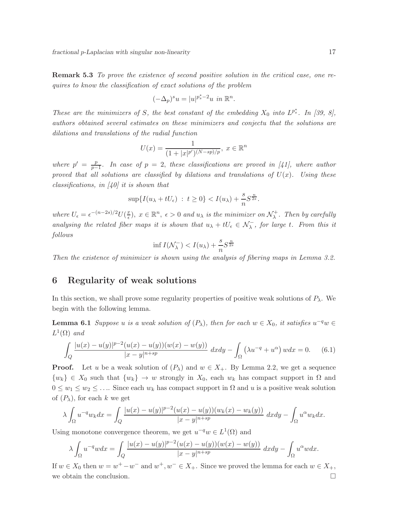Remark 5.3 *To prove the existence of second positive solution in the critical case, one requires to know the classification of exact solutions of the problem*

$$
(-\Delta_p)^s u = |u|^{p_s^*-2} u \text{ in } \mathbb{R}^n.
$$

*These are the minimizers of* S, the best constant of the embedding  $X_0$  into  $L^{p^*_s}$ . In [39, 8], *authors obtained several estimates on these minimizers and conjectu that the solutions are dilations and translations of the radial function*

$$
U(x) = \frac{1}{(1+|x|^{p'})^{(N-sp)/p}}, \ x \in \mathbb{R}^n
$$

*where*  $p' = \frac{p}{p}$ p−1 *. In case of* p = 2, *these classifications are proved in [41], where author proved that all solutions are classified by dilations and translations of*  $U(x)$ *. Using these classifications, in [40] it is shown that*

$$
\sup\{I(u_\lambda+tU_\epsilon)\;:\; t\geq 0\}
$$

where  $U_{\epsilon} = \epsilon^{-(n-2s)/2} U(\frac{x}{\epsilon})$  $\frac{x}{\epsilon}$ ,  $x \in \mathbb{R}^n$ ,  $\epsilon > 0$  and  $u_{\lambda}$  is the minimizer on  $\mathcal{N}_{\lambda}^+$ λ *. Then by carefully analysing the related fiber maps it is shown that*  $u_{\lambda} + tU_{\epsilon} \in \mathcal{N}_{\lambda}$ , for large t. From this it *follows*

$$
\inf I(\mathcal{N}_{\lambda}^-) < I(u_{\lambda}) + \frac{s}{n} S^{\frac{n}{2s}}
$$

*Then the existence of minimizer is shown using the analysis of fibering maps in Lemma 3.2.*

# 6 Regularity of weak solutions

In this section, we shall prove some regularity properties of positive weak solutions of  $P_\lambda$ . We begin with the following lemma.

**Lemma 6.1** *Suppose* u *is a weak solution of*  $(P_{\lambda})$ *, then for each*  $w \in X_0$ *, it satisfies*  $u^{-q}w \in Y_0$  $L^1(\Omega)$  and

$$
\int_{Q} \frac{|u(x) - u(y)|^{p-2} (u(x) - u(y))(w(x) - w(y))}{|x - y|^{n + sp}} dx dy - \int_{\Omega} (\lambda u^{-q} + u^{\alpha}) w dx = 0.
$$
 (6.1)

**Proof.** Let u be a weak solution of  $(P_\lambda)$  and  $w \in X_+$ . By Lemma 2.2, we get a sequence  $\{w_k\} \in X_0$  such that  $\{w_k\} \to w$  strongly in  $X_0$ , each  $w_k$  has compact support in  $\Omega$  and  $0 \leq w_1 \leq w_2 \leq \ldots$  Since each  $w_k$  has compact support in  $\Omega$  and u is a positive weak solution of  $(P_\lambda)$ , for each k we get

$$
\lambda \int_{\Omega} u^{-q} w_k dx = \int_{Q} \frac{|u(x) - u(y)|^{p-2} (u(x) - u(y))(w_k(x) - w_k(y))}{|x - y|^{n+sp}} dxdy - \int_{\Omega} u^{\alpha} w_k dx.
$$

Using monotone convergence theorem, we get  $u^{-q}w \in L^1(\Omega)$  and

$$
\lambda \int_{\Omega} u^{-q}w dx = \int_{Q} \frac{|u(x) - u(y)|^{p-2}(u(x) - u(y))(w(x) - w(y))}{|x - y|^{n+sp}} dxdy - \int_{\Omega} u^{\alpha}w dx.
$$

If  $w \in X_0$  then  $w = w^+ - w^-$  and  $w^+, w^- \in X_+$ . Since we proved the lemma for each  $w \in X_+$ , we obtain the conclusion.  $\Box$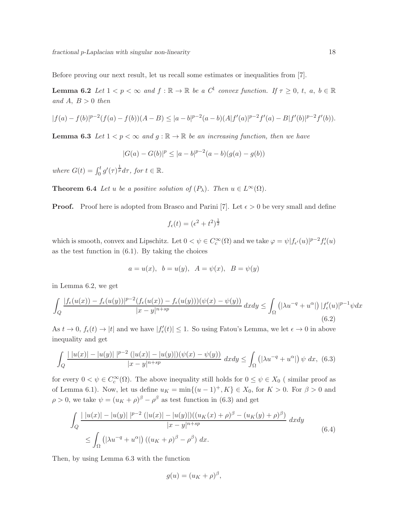Before proving our next result, let us recall some estimates or inequalities from [7].

**Lemma 6.2** *Let*  $1 < p < \infty$  *and*  $f : \mathbb{R} \to \mathbb{R}$  *be a*  $C^1$  *convex function.* If  $\tau \geq 0$ , t, a,  $b \in \mathbb{R}$ and  $A, B > 0$  *then* 

$$
|f(a)-f(b)|^{p-2}(f(a)-f(b))(A-B) \leq |a-b|^{p-2}(a-b)(A|f'(a)|^{p-2}f'(a)-B|f'(b)|^{p-2}f'(b)).
$$

**Lemma 6.3** Let  $1 < p < \infty$  and  $g : \mathbb{R} \to \mathbb{R}$  be an increasing function, then we have

 $|G(a) - G(b)|^p \leq |a - b|^{p-2}(a - b)(g(a) - g(b))$ 

where  $G(t) = \int_0^t g'(\tau) \frac{1}{p} d\tau$ , for  $t \in \mathbb{R}$ .

**Theorem 6.4** *Let* u *be a positive solution of*  $(P_\lambda)$ *. Then*  $u \in L^\infty(\Omega)$ *.* 

**Proof.** Proof here is adopted from Brasco and Parini [7]. Let  $\epsilon > 0$  be very small and define

$$
f_{\epsilon}(t) = (\epsilon^2 + t^2)^{\frac{1}{2}}
$$

which is smooth, convex and Lipschitz. Let  $0 < \psi \in C_c^{\infty}(\Omega)$  and we take  $\varphi = \psi |f_{\epsilon'}(u)|^{p-2} f'_{\epsilon}(u)$ as the test function in  $(6.1)$ . By taking the choices

$$
a = u(x), b = u(y), A = \psi(x), B = \psi(y)
$$

in Lemma 6.2, we get

$$
\int_{Q} \frac{|f_{\epsilon}(u(x)) - f_{\epsilon}(u(y))|^{p-2}(f_{\epsilon}(u(x)) - f_{\epsilon}(u(y)))(\psi(x) - \psi(y))|}{|x - y|^{n + sp}} dxdy \le \int_{\Omega} (|\lambda u^{-q} + u^{\alpha}|) |f'_{\epsilon}(u)|^{p-1} \psi dx
$$
\n(6.2)

As  $t \to 0$ ,  $f_{\epsilon}(t) \to |t|$  and we have  $|f'_{\epsilon}(t)| \leq 1$ . So using Fatou's Lemma, we let  $\epsilon \to 0$  in above inequality and get

$$
\int_{Q} \frac{|\,|u(x)| - |u(y)|\,|^{p-2} \, (|u(x)| - |u(y)|)(\psi(x) - \psi(y))}{|x - y|^{n+sp}} \, dxdy \le \int_{\Omega} \left( |\lambda u^{-q} + u^{\alpha}| \right) \psi \, dx, \tag{6.3}
$$

for every  $0 < \psi \in C_c^{\infty}(\Omega)$ . The above inequality still holds for  $0 \le \psi \in X_0$  (similar proof as of Lemma 6.1). Now, let us define  $u_K = \min\{(u-1)^+, K\} \in X_0$ , for  $K > 0$ . For  $\beta > 0$  and  $\rho > 0$ , we take  $\psi = (u_K + \rho)^{\beta} - \rho^{\beta}$  as test function in (6.3) and get

$$
\int_{Q} \frac{|\,|u(x)| - |u(y)|\,|^{p-2} \, (|u(x)| - |u(y)|) ( (u_K(x) + \rho)^{\beta} - (u_K(y) + \rho)^{\beta} )}{|x - y|^{n + sp}} \, dxdy
$$
\n
$$
\leq \int_{\Omega} \left( |\lambda u^{-q} + u^{\alpha}| \right) \left( (u_K + \rho)^{\beta} - \rho^{\beta} \right) dx. \tag{6.4}
$$

Then, by using Lemma 6.3 with the function

$$
g(u) = (u_K + \rho)^\beta,
$$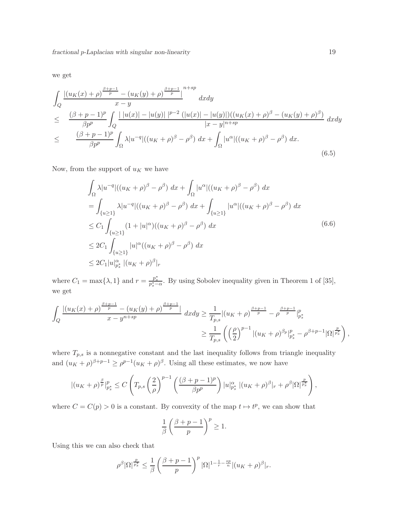we get

$$
\int_{Q} \frac{|(u_{K}(x)+\rho)^{\frac{\beta+p-1}{p}} - (u_{K}(y)+\rho)^{\frac{\beta+p-1}{p}}|}{x-y} dxdy \n\leq \frac{(\beta+p-1)^{p}}{\beta p^{p}} \int_{Q} \frac{|u(x)| - |u(y)| |^{p-2} (|u(x)| - |u(y)|) ((u_{K}(x)+\rho)^{\beta} - (u_{K}(y)+\rho)^{\beta})}{|x-y|^{n+sp}} dxdy \n\leq \frac{(\beta+p-1)^{p}}{\beta p^{p}} \int_{\Omega} \lambda |u^{-q}| ((u_{K}+\rho)^{\beta} - \rho^{\beta}) dx + \int_{\Omega} |u^{\alpha}| ((u_{K}+\rho)^{\beta} - \rho^{\beta}) dx.
$$
\n(6.5)

Now, from the support of  $\boldsymbol{u}_K$  we have

$$
\int_{\Omega} \lambda |u^{-q}| ((u_K + \rho)^{\beta} - \rho^{\beta}) dx + \int_{\Omega} |u^{\alpha}| ((u_K + \rho)^{\beta} - \rho^{\beta}) dx
$$
  
\n
$$
= \int_{\{u \ge 1\}} \lambda |u^{-q}| ((u_K + \rho)^{\beta} - \rho^{\beta}) dx + \int_{\{u \ge 1\}} |u^{\alpha}| ((u_K + \rho)^{\beta} - \rho^{\beta}) dx
$$
  
\n
$$
\le C_1 \int_{\{u \ge 1\}} (1 + |u|^{\alpha}) ((u_K + \rho)^{\beta} - \rho^{\beta}) dx
$$
  
\n
$$
\le 2C_1 \int_{\{u \ge 1\}} |u|^{\alpha} ((u_K + \rho)^{\beta} - \rho^{\beta}) dx
$$
  
\n
$$
\le 2C_1 |u|_{p_s^*}^{\alpha} |(u_K + \rho)^{\beta}|_r
$$
\n(6.6)

where  $C_1 = \max\{\lambda, 1\}$  and  $r = \frac{p_s^*}{p_s^* - \alpha}$ . By using Sobolev inequality given in Theorem 1 of [35], we get

$$
\int_{Q} \frac{|(u_{K}(x)+\rho)^{\frac{\beta+p-1}{p}}-(u_{K}(y)+\rho)^{\frac{\beta+p-1}{p}}|}{x-y^{n+sp}} dxdy \geq \frac{1}{T_{p,s}}|(u_{K}+\rho)^{\frac{\beta+p-1}{p}}-\rho^{\frac{\beta+p-1}{p}}|_{p_{s}^{*}}^{p}
$$

$$
\geq \frac{1}{T_{p,s}}\left(\left(\frac{\rho}{2}\right)^{p-1}|(u_{K}+\rho)^{\beta_{p}}|_{p_{s}^{*}}^{p}-\rho^{\beta+p-1}|\Omega|^{\frac{p}{p_{s}^{*}}}\right),
$$

where  $T_{p,s}$  is a nonnegative constant and the last inequality follows from triangle inequality and  $(u_K + \rho)^{\beta+p-1} \ge \rho^{p-1}(u_K + \rho)^{\beta}$ . Using all these estimates, we now have

$$
|(u_K+\rho)^{\frac{\beta}{p}}|_{p_s^*}^p \leq C \left(T_{p,s}\left(\frac{2}{\rho}\right)^{p-1}\left(\frac{(\beta+p-1)^p}{\beta p^p}\right)|u|_{p_s^*}^{\alpha}|(u_K+\rho)^{\beta}|_r+\rho^{\beta}|\Omega|^{\frac{p}{p_s^*}}\right),
$$

where  $C = C(p) > 0$  is a constant. By convexity of the map  $t \mapsto t^p$ , we can show that

$$
\frac{1}{\beta} \left( \frac{\beta + p - 1}{p} \right)^p \ge 1.
$$

Using this we can also check that

$$
\rho^{\beta}|\Omega|^{\frac{p}{p^*_s}} \leq \frac{1}{\beta} \left(\frac{\beta+p-1}{p}\right)^p |\Omega|^{1-\frac{1}{r}-\frac{sp}{n}} |(u_K+\rho)^{\beta}|_r.
$$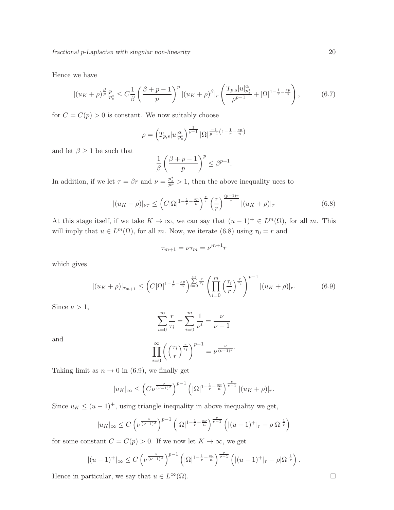Hence we have

$$
|(u_K + \rho)^{\frac{\beta}{p}}|_{p_s^*}^p \le C \frac{1}{\beta} \left(\frac{\beta + p - 1}{p}\right)^p |(u_K + \rho)^{\beta}|_r \left(\frac{T_{p,s}|u|_{p_s^*}^{\alpha}}{\rho^{p-1}} + |\Omega|^{1 - \frac{1}{r} - \frac{sp}{n}}\right),
$$
(6.7)

for  $C = C(p) > 0$  is constant. We now suitably choose

$$
\rho = \left( T_{p,s} |u|_{p_s^*}^{\alpha} \right)^{\frac{1}{p-1}} |\Omega|^{\frac{-1}{p-1} \left(1 - \frac{1}{r} - \frac{sp}{n} \right)}
$$

and let  $\beta \geq 1$  be such that

$$
\frac{1}{\beta} \left( \frac{\beta+p-1}{p} \right)^p \leq \beta^{p-1}.
$$

In addition, if we let  $\tau = \beta r$  and  $\nu = \frac{p_s^*}{pr} > 1$ , then the above inequality uces to

$$
|(u_K + \rho)|_{\nu\tau} \leq \left(C|\Omega|^{1-\frac{1}{r}-\frac{sp}{n}}\right)^{\frac{r}{\tau}} \left(\frac{\tau}{r}\right)^{\frac{(p-1)r}{\tau}} |(u_K + \rho)|_{\tau}
$$
(6.8)

At this stage itself, if we take  $K \to \infty$ , we can say that  $(u - 1)^+ \in L^m(\Omega)$ , for all m. This will imply that  $u \in L^m(\Omega)$ , for all m. Now, we iterate (6.8) using  $\tau_0 = r$  and

$$
\tau_{m+1} = \nu \tau_m = \nu^{m+1} r
$$

which gives

$$
|(u_K + \rho)|_{\tau_{m+1}} \leq \left(C|\Omega|^{1-\frac{1}{r}-\frac{sp}{n}}\right)^{\sum\limits_{i=0}^{m} \frac{r}{\tau_i}} \left(\prod_{i=0}^{m} \left(\frac{\tau_i}{r}\right)^{\frac{r}{\tau_i}}\right)^{p-1} |(u_K + \rho)|_r. \tag{6.9}
$$

Since  $\nu > 1$ ,

$$
\sum_{i=0}^{\infty} \frac{r}{\tau_i} = \sum_{i=0}^{m} \frac{1}{\nu^i} = \frac{\nu}{\nu - 1}
$$

and

$$
\prod_{i=0}^{\infty} \left( \left( \frac{\tau_i}{r} \right)^{\frac{r}{\tau_i}} \right)^{p-1} = \nu^{\frac{\nu}{(\nu-1)^2}}.
$$

Taking limit as  $n \to 0$  in (6.9), we finally get

$$
|u_K|_{\infty} \le \left(C\nu^{\frac{\nu}{(\nu-1)^2}}\right)^{p-1} \left(|\Omega|^{1-\frac{1}{r}-\frac{sp}{n}}\right)^{\frac{\nu}{\nu-1}} |(u_K+\rho)|_r.
$$

Since  $u_K \leq (u-1)^+$ , using triangle inequality in above inequality we get,

$$
|u_K|_\infty \leq C \left(\nu^{\frac{\nu}{(\nu-1)^2}}\right)^{p-1} \left(|\Omega|^{1-\frac{1}{r}-\frac{sp}{n}}\right)^{\frac{\nu}{\nu-1}} \left(|(u-1)^+|_r+\rho |\Omega|^{\frac{1}{r}}\right)
$$

for some constant  $C = C(p) > 0$ . If we now let  $K \to \infty$ , we get

$$
|(u-1)^+|_\infty \leq C \left(\nu^{\frac{\nu}{(\nu-1)^2}}\right)^{p-1} \left(|\Omega|^{1-\frac{1}{r}-\frac{sp}{n}}\right)^{\frac{\nu}{\nu-1}} \left(|(u-1)^+|_r+\rho|\Omega|^{\frac{1}{r}}\right).
$$

Hence in particular, we say that  $u \in L^{\infty}(\Omega)$ .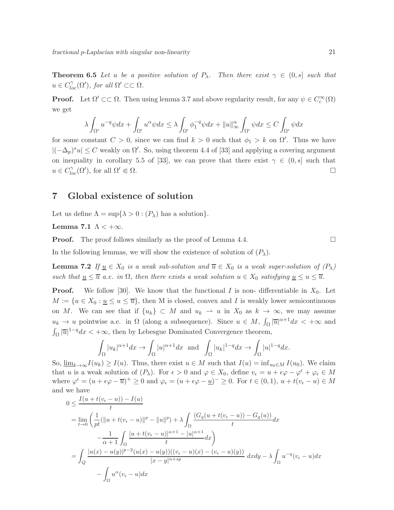**Theorem 6.5** Let u be a positive solution of  $P_\lambda$ . Then there exist  $\gamma \in (0, s]$  such that  $u \in C^{\gamma}_{loc}(\Omega'),$  for all  $\Omega' \subset\subset \Omega$ .

**Proof.** Let  $\Omega' \subset\subset \Omega$ . Then using lemma 3.7 and above regularity result, for any  $\psi \in C_c^{\infty}(\Omega)$ we get

$$
\lambda \int_{\Omega'} u^{-q} \psi dx + \int_{\Omega'} u^{\alpha} \psi dx \le \lambda \int_{\Omega'} \phi_1^{-q} \psi dx + ||u||_{\infty}^{\alpha} \int_{\Omega'} \psi dx \le C \int_{\Omega'} \psi dx
$$

for some constant  $C > 0$ , since we can find  $k > 0$  such that  $\phi_1 > k$  on  $\Omega'$ . Thus we have  $|(-\Delta_p)^s u| \leq C$  weakly on  $\Omega'$ . So, using theorem 4.4 of [33] and applying a covering argument on inequality in corollary 5.5 of [33], we can prove that there exist  $\gamma \in (0, s]$  such that  $u \in C^{\gamma}_{loc}(\Omega'),$  for all  $\Omega' \Subset \Omega$ .

### 7 Global existence of solution

Let us define  $\Lambda = \sup\{\lambda > 0 : (P_\lambda)$  has a solution.

Lemma 7.1  $\Lambda$  < + $\infty$ .

**Proof.** The proof follows similarly as the proof of Lemma 4.4.

In the following lemmas, we will show the existence of solution of  $(P_\lambda)$ .

**Lemma 7.2** *If*  $\underline{u} \in X_0$  *is a weak sub-solution and*  $\overline{u} \in X_0$  *is a weak super-solution of*  $(P_\lambda)$ *such that*  $\underline{u} \leq \overline{u}$  *a.e. in*  $\Omega$ *, then there exists a weak solution*  $u \in X_0$  *satisfying*  $\underline{u} \leq u \leq \overline{u}$ *.* 

**Proof.** We follow [30]. We know that the functional I is non- differentiable in  $X_0$ . Let  $M := \{u \in X_0 : u \le u \le \overline{u}\}\$ , then M is closed, convex and I is weakly lower semicontinuous on M. We can see that if  $\{u_k\} \subset M$  and  $u_k \rightharpoonup u$  in  $X_0$  as  $k \to \infty$ , we may assume  $u_k \to u$  pointwise a.e. in  $\Omega$  (along a subsequence). Since  $u \in M$ ,  $\int_{\Omega} |\overline{u}|^{\alpha+1} dx < +\infty$  and  $\int_{\Omega} |\overline{u}|^{1-q} dx < +\infty$ , then by Lebesgue Dominated Convergence theorem,

$$
\int_{\Omega} |u_k|^{\alpha+1} dx \to \int_{\Omega} |u|^{\alpha+1} dx \text{ and } \int_{\Omega} |u_k|^{1-q} dx \to \int_{\Omega} |u|^{1-q} dx.
$$

So,  $\underline{\lim}_{k\to\infty}I(u_k)\geq I(u)$ . Thus, there exist  $u\in M$  such that  $I(u) = \inf_{u_0\in M}I(u_0)$ . We claim that u is a weak solution of  $(P_\lambda)$ . For  $\epsilon > 0$  and  $\varphi \in X_0$ , define  $v_\epsilon = u + \epsilon \varphi - \varphi^\epsilon + \varphi_\epsilon \in M$ where  $\varphi^{\epsilon} = (u + \epsilon \varphi - \overline{u})^{+} \ge 0$  and  $\varphi_{\epsilon} = (u + \epsilon \varphi - \underline{u})^{-} \ge 0$ . For  $t \in (0, 1), u + t(v_{\epsilon} - u) \in M$ and we have

$$
0 \leq \frac{I(u+t(v_{\epsilon}-u))-I(u)}{t}
$$
  
= 
$$
\lim_{t \to 0} \left( \frac{1}{pt} (\|u+t(v_{\epsilon}-u)\|^{p} - \|u\|^{p}) + \lambda \int_{\Omega} \frac{(G_q(u+t(v_{\epsilon}-u)) - G_q(u))}{t} dx - \frac{1}{\alpha+1} \int_{\Omega} \frac{|u+t(v_{\epsilon}-u)|^{\alpha+1} - |u|^{\alpha+1}}{t} dx \right)
$$
  
= 
$$
\int_{Q} \frac{|u(x)-u(y)|^{p-2} (u(x)-u(y))((v_{\epsilon}-u)(x) - (v_{\epsilon}-u)(y))}{|x-y|^{n+sp}} dx dy - \lambda \int_{\Omega} u^{-q} (v_{\epsilon}-u) dx - \int_{\Omega} u^{\alpha} (v_{\epsilon}-u) dx
$$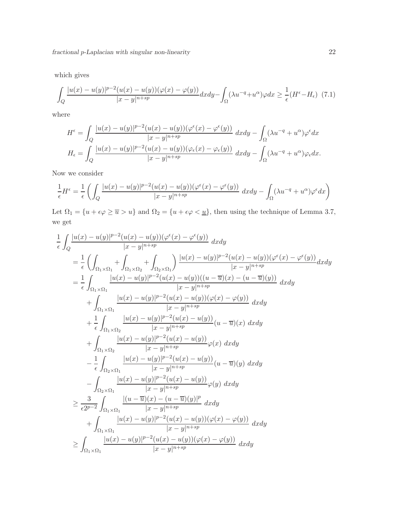which gives

$$
\int_{Q} \frac{|u(x) - u(y)|^{p-2} (u(x) - u(y)) (\varphi(x) - \varphi(y))}{|x - y|^{n+sp}} dx dy - \int_{\Omega} (\lambda u^{-q} + u^{\alpha}) \varphi dx \ge \frac{1}{\epsilon} (H^{\epsilon} - H_{\epsilon}) \tag{7.1}
$$

where

$$
H^{\epsilon} = \int_{Q} \frac{|u(x) - u(y)|^{p-2} (u(x) - u(y)) (\varphi^{\epsilon}(x) - \varphi^{\epsilon}(y))}{|x - y|^{n+sp}} dx dy - \int_{\Omega} (\lambda u^{-q} + u^{\alpha}) \varphi^{\epsilon} dx
$$

$$
H_{\epsilon} = \int_{Q} \frac{|u(x) - u(y)|^{p-2} (u(x) - u(y)) (\varphi_{\epsilon}(x) - \varphi_{\epsilon}(y))}{|x - y|^{n+sp}} dx dy - \int_{\Omega} (\lambda u^{-q} + u^{\alpha}) \varphi_{\epsilon} dx.
$$

Now we consider

$$
\frac{1}{\epsilon}H^{\epsilon} = \frac{1}{\epsilon} \left( \int_{Q} \frac{|u(x) - u(y)|^{p-2} (u(x) - u(y)) (\varphi^{\epsilon}(x) - \varphi^{\epsilon}(y))}{|x - y|^{n + sp}} dx dy - \int_{\Omega} (\lambda u^{-q} + u^{\alpha}) \varphi^{\epsilon} dx \right)
$$

Let  $\Omega_1 = \{u + \epsilon \varphi \ge \overline{u} > u\}$  and  $\Omega_2 = \{u + \epsilon \varphi < \underline{u}\}$ , then using the technique of Lemma 3.7, we get

$$
\frac{1}{\epsilon} \int_{Q} \frac{|u(x) - u(y)|^{p-2} (u(x) - u(y)) (\varphi^{\epsilon}(x) - \varphi^{\epsilon}(y))}{|x - y|^{n + sp}} dx dy \n= \frac{1}{\epsilon} \left( \int_{\Omega_{1} \times \Omega_{1}} + \int_{\Omega_{1} \times \Omega_{2}} + \int_{\Omega_{2} \times \Omega_{1}} \frac{|u(x) - u(y)|^{p-2} (u(x) - u(y)) (\varphi^{\epsilon}(x) - \varphi^{\epsilon}(y))}{|x - y|^{n + sp}} dx dy \n= \frac{1}{\epsilon} \int_{\Omega_{1} \times \Omega_{1}} \frac{|u(x) - u(y)|^{p-2} (u(x) - u(y)) ((u - \overline{u})(x) - (u - \overline{u})(y))}{|x - y|^{n + sp}} dx dy \n+ \int_{\Omega_{1} \times \Omega_{1}} \frac{|u(x) - u(y)|^{p-2} (u(x) - u(y)) (\varphi(x) - \varphi(y))}{|x - y|^{n + sp}} dx dy \n+ \frac{1}{\epsilon} \int_{\Omega_{1} \times \Omega_{2}} \frac{|u(x) - u(y)|^{p-2} (u(x) - u(y))}{|x - y|^{n + sp}} (u - \overline{u})(x) dx dy \n+ \int_{\Omega_{1} \times \Omega_{2}} \frac{|u(x) - u(y)|^{p-2} (u(x) - u(y))}{|x - y|^{n + sp}} \varphi(x) dx dy \n- \frac{1}{\epsilon} \int_{\Omega_{2} \times \Omega_{1}} \frac{|u(x) - u(y)|^{p-2} (u(x) - u(y))}{|x - y|^{n + sp}} (u - \overline{u})(y) dx dy \n- \int_{\Omega_{2} \times \Omega_{1}} \frac{|u(x) - u(y)|^{p-2} (u(x) - u(y))}{|x - y|^{n + sp}} \varphi(y) dx dy \n+ \int_{\Omega_{1} \times \Omega_{1}} \frac{|u(x) - u(y)|^{p-2} (u(x) - u(y)) (\varphi(x) - \varphi(y))}{|x - y|^{n + sp}} dx dy \n+ \int_{\Omega_{1} \times \Omega_{1}} \frac{|u(x) - u(y)|^{p-2} (u(x) - u(y)) (\varphi(x) - \varphi(y))}{|x - y|^{n + sp}} dx dy \n\ge \int_{\Omega_{1}
$$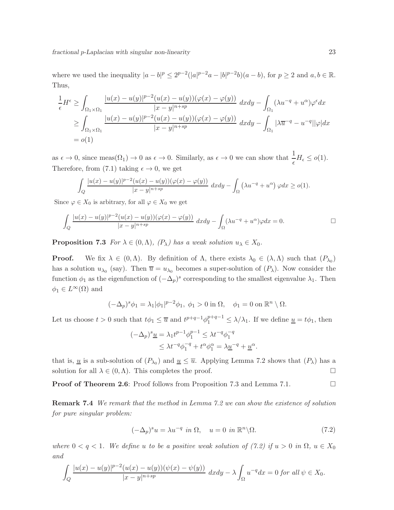where we used the inequality  $|a - b|^p \le 2^{p-2} (|a|^{p-2}a - |b|^{p-2}b)(a - b)$ , for  $p \ge 2$  and  $a, b \in \mathbb{R}$ . Thus,

$$
\frac{1}{\epsilon}H^{\epsilon} \ge \int_{\Omega_1 \times \Omega_1} \frac{|u(x) - u(y)|^{p-2} (u(x) - u(y)) (\varphi(x) - \varphi(y))}{|x - y|^{n + sp}} dx dy - \int_{\Omega_1} (\lambda u^{-q} + u^{\alpha}) \varphi^{\epsilon} dx
$$
\n
$$
\ge \int_{\Omega_1 \times \Omega_1} \frac{|u(x) - u(y)|^{p-2} (u(x) - u(y)) (\varphi(x) - \varphi(y))}{|x - y|^{n + sp}} dx dy - \int_{\Omega_1} |\lambda \overline{u}^{-q} - u^{-q}| |\varphi| dx
$$
\n
$$
= o(1)
$$

as  $\epsilon \to 0$ , since meas $(\Omega_1) \to 0$  as  $\epsilon \to 0$ . Similarly, as  $\epsilon \to 0$  we can show that  $\frac{1}{\epsilon} H_{\epsilon} \leq o(1)$ . Therefore, from (7.1) taking  $\epsilon \to 0$ , we get

$$
\int_{Q} \frac{|u(x)-u(y)|^{p-2}(u(x)-u(y))(\varphi(x)-\varphi(y))}{|x-y|^{n+sp}} dxdy - \int_{\Omega} \left(\lambda u^{-q}+u^{\alpha}\right) \varphi dx \geq o(1).
$$

Since  $\varphi \in X_0$  is arbitrary, for all  $\varphi \in X_0$  we get

$$
\int_{Q} \frac{|u(x) - u(y)|^{p-2}(u(x) - u(y))(\varphi(x) - \varphi(y))}{|x - y|^{n+sp}} dxdy - \int_{\Omega} (\lambda u^{-q} + u^{\alpha})\varphi dx = 0.
$$

**Proposition 7.3** *For*  $\lambda \in (0, \Lambda)$ *,*  $(P_{\lambda})$  *has a weak solution*  $u_{\lambda} \in X_0$ *.* 

**Proof.** We fix  $\lambda \in (0, \Lambda)$ . By definition of  $\Lambda$ , there exists  $\lambda_0 \in (\lambda, \Lambda)$  such that  $(P_{\lambda_0})$ has a solution  $u_{\lambda_0}$  (say). Then  $\overline{u} = u_{\lambda_0}$  becomes a super-solution of  $(P_\lambda)$ . Now consider the function  $\phi_1$  as the eigenfunction of  $(-\Delta_p)^s$  corresponding to the smallest eigenvalue  $\lambda_1$ . Then  $\phi_1 \in L^{\infty}(\Omega)$  and

$$
(-\Delta_p)^s \phi_1 = \lambda_1 |\phi_1|^{p-2} \phi_1, \ \phi_1 > 0 \text{ in } \Omega, \quad \phi_1 = 0 \text{ on } \mathbb{R}^n \setminus \Omega.
$$

Let us choose  $t > 0$  such that  $t\phi_1 \leq \overline{u}$  and  $t^{p+q-1}\phi_1^{p+q-1} \leq \lambda/\lambda_1$ . If we define  $\underline{u} = t\phi_1$ , then

$$
(-\Delta_p)^s \underline{u} = \lambda_1 t^{p-1} \phi_1^{p-1} \leq \lambda t^{-q} \phi_1^{-q}
$$
  

$$
\leq \lambda t^{-q} \phi_1^{-q} + t^{\alpha} \phi_1^{\alpha} = \lambda \underline{u}^{-q} + \underline{u}^{\alpha}.
$$

that is, <u>u</u> is a sub-solution of  $(P_{\lambda_0})$  and  $\underline{u} \leq \overline{u}$ . Applying Lemma 7.2 shows that  $(P_{\lambda})$  has a solution for all  $\lambda \in (0, \Lambda)$ . This completes the proof.

**Proof of Theorem 2.6:** Proof follows from Proposition 7.3 and Lemma 7.1. □

Remark 7.4 *We remark that the method in Lemma 7.2 we can show the existence of solution for pure singular problem:*

$$
(-\Delta_p)^s u = \lambda u^{-q} \text{ in } \Omega, \quad u = 0 \text{ in } \mathbb{R}^n \backslash \Omega. \tag{7.2}
$$

*where*  $0 < q < 1$ *. We define u to be a positive weak solution of (7.2) if*  $u > 0$  *in*  $\Omega$ *,*  $u \in X_0$ *and*

$$
\int_{Q} \frac{|u(x) - u(y)|^{p-2} (u(x) - u(y)) (\psi(x) - \psi(y))}{|x - y|^{n+sp}} dx dy - \lambda \int_{\Omega} u^{-q} dx = 0 \text{ for all } \psi \in X_0.
$$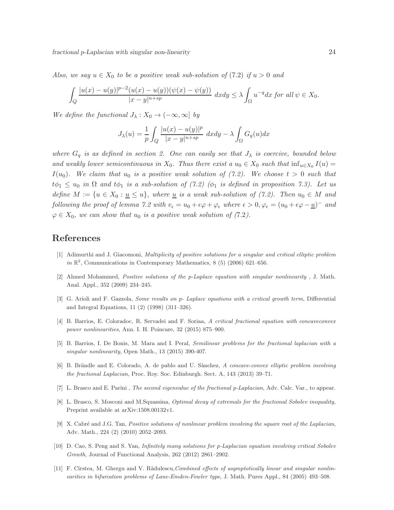*Also, we say*  $u \in X_0$  *to be a positive weak sub-solution of* (7.2) *if*  $u > 0$  *and* 

$$
\int_{Q} \frac{|u(x) - u(y)|^{p-2} (u(x) - u(y)) (\psi(x) - \psi(y))}{|x - y|^{n+sp}} dx dy \le \lambda \int_{\Omega} u^{-q} dx \text{ for all } \psi \in X_0.
$$

*We define the functional*  $J_{\lambda}: X_0 \to (-\infty, \infty]$  *by* 

$$
J_{\lambda}(u) = \frac{1}{p} \int_{Q} \frac{|u(x) - u(y)|^{p}}{|x - y|^{n + sp}} dx dy - \lambda \int_{\Omega} G_{q}(u) dx
$$

*where*  $G_q$  *is as defined in section 2. One can easily see that*  $J_\lambda$  *is coercive, bounded below and weakly lower semicontinuous in*  $X_0$ . Thus there exist a  $u_0 \in X_0$  such that  $\inf_{u \in X_0} I(u) =$  $I(u_0)$ . We claim that  $u_0$  is a positive weak solution of (7.2). We choose  $t > 0$  such that  $t\phi_1 \leq u_0$  *in*  $\Omega$  *and*  $t\phi_1$  *is a sub-solution of (7.2) (* $\phi_1$  *is defined in proposition 7.3). Let us define*  $M := \{u \in X_0 : u \leq u\}$ , where <u>u</u> is a weak sub-solution of (7.2). Then  $u_0 \in M$  and *following the proof of lemma 7.2 with*  $v_{\epsilon} = u_0 + \epsilon \varphi + \varphi_{\epsilon}$  where  $\epsilon > 0$ ,  $\varphi_{\epsilon} = (u_0 + \epsilon \varphi - \underline{u})^{-}$  and  $\varphi \in X_0$ , we can show that  $u_0$  is a positive weak solution of (7.2).

# References

- [1] Adimurthi and J. Giacomoni, Multiplicity of positive solutions for a singular and critical elliptic problem in  $\mathbb{R}^2$ , Communications in Contemporary Mathematics, 8 (5) (2006) 621-656.
- [2] Ahmed Mohammed, Positive solutions of the p-Laplace equation with singular nonlinearity , J. Math. Anal. Appl., 352 (2009) 234–245.
- [3] G. Arioli and F. Gazzola, Some results on p- Laplace equations with a critical growth term, Differential and Integral Equations, 11 (2) (1998) (311–326).
- [4] B. Barrios, E. Coloradoc, R. Servadei and F. Soriaa, A critical fractional equation with concaveconvex power nonlinearities, Ann. I. H. Poincare, 32 (2015) 875–900.
- [5] B. Barrios, I. De Bonis, M. Mara and I. Peral, Semilinear problems for the fractional laplacian with a singular nonlinearity, Open Math., 13 (2015) 390-407.
- [6] B. Brändle and E. Colorado, A. de pablo and U. Sànchez, A concave-convex elliptic problem involving the fractional Laplacian, Proc. Roy. Soc. Edinburgh. Sect. A, 143 (2013) 39–71.
- [7] L. Brasco and E. Parini , The second eigenvalue of the fractional p-Laplacian, Adv. Calc. Var., to appear.
- [8] L. Brasco, S. Mosconi and M.Squassina, Optimal decay of extremals for the fractional Sobolev inequality, Preprint available at arXiv:1508.00132v1.
- [9] X. Cabré and J.G. Tan, Positive solutions of nonlinear problem involving the square root of the Laplacian, Adv. Math., 224 (2) (2010) 2052–2093.
- [10] D. Cao, S. Peng and S. Yan, Infinitely many solutions for p-Laplacian equation involving critical Sobolev Growth, Journal of Functional Analysis, 262 (2012) 2861–2902.
- [11] F. Cîrstea, M. Ghergu and V. Rădulescu, Combined effects of asymptotically linear and singular nonlinearities in bifurcation problems of Lane-Emden-Fowler type, J. Math. Pures Appl., 84 (2005) 493–508.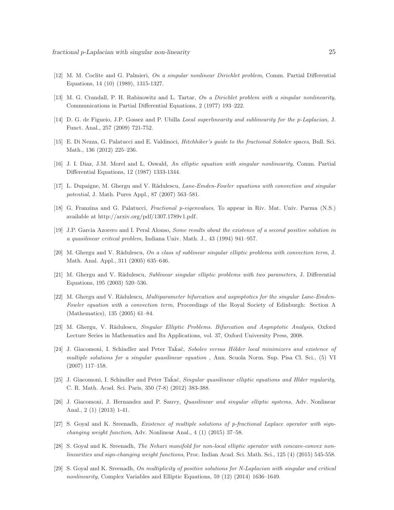- [12] M. M. Coclite and G. Palmieri, On a singular nonlinear Dirichlet problem, Comm. Partial Differential Equations, 14 (10) (1989), 1315-1327.
- [13] M. G. Crandall, P. H. Rabinowitz and L. Tartar, On a Dirichlet problem with a singular nonlinearity, Communications in Partial Differential Equations, 2 (1977) 193–222.
- [14] D. G. de Figueio, J.P. Gossez and P. Ubilla Local superlinearity and sublinearity for the p-Laplacian, J. Funct. Anal., 257 (2009) 721-752.
- [15] E. Di Nezza, G. Palatucci and E. Valdinoci, *Hitchhiker's quide to the fractional Sobolev spaces*, Bull. Sci. Math., 136 (2012) 225–236.
- [16] J. I. Diaz, J.M. Morel and L. Oswald, An elliptic equation with singular nonlinearity, Comm. Partial Differential Equations, 12 (1987) 1333-1344.
- [17] L. Dupaigne, M. Ghergu and V. Rădulescu, Lane-Emden-Fowler equations with convection and singular potential, J. Math. Pures Appl., 87 (2007) 563–581.
- [18] G. Franzina and G. Palatucci, Fractional p-eigenvalues, To appear in Riv. Mat. Univ. Parma (N.S.) available at http://arxiv.org/pdf/1307.1789v1.pdf.
- [19] J.P. Garcia Azorero and I. Peral Alonso, Some results about the existence of a second positive solution in a quasilinear critical problem, Indiana Univ. Math. J., 43 (1994) 941–957.
- [20] M. Ghergu and V. Rădulescu, On a class of sublinear singular elliptic problems with convection term, J. Math. Anal. Appl., 311 (2005) 635–646.
- [21] M. Ghergu and V. Rădulescu, Sublinear singular elliptic problems with two parameters, J. Differential Equations, 195 (2003) 520–536.
- [22] M. Ghergu and V. Rădulescu, *Multiparameter bifurcation and asymptotics for the singular Lane-Emden-*Fowler equation with a convection term, Proceedings of the Royal Society of Edinburgh: Section A (Mathematics), 135 (2005) 61–84.
- [23] M. Ghergu, V. Rădulescu, Singular Elliptic Problems. Bifurcation and Asymptotic Analysis, Oxford Lecture Series in Mathematics and Its Applications, vol. 37, Oxford University Press, 2008.
- [24] J. Giacomoni, I. Schindler and Peter Takaĉ, Sobolev versus Hölder local minimizers and existence of multiple solutions for a singular quasilinear equation, Ann. Scuola Norm. Sup. Pisa Cl. Sci., (5) VI (2007) 117–158.
- [25] J. Giacomoni, I. Schindler and Peter Takaĉ, Singular quasilinear elliptic equations and Hlder regularity, C. R. Math. Acad. Sci. Paris, 350 (7-8) (2012) 383-388.
- [26] J. Giacomoni, J. Hernandez and P. Sauvy, Quasilinear and singular elliptic systems, Adv. Nonlinear Anal., 2 (1) (2013) 1-41.
- [27] S. Goyal and K. Sreenadh, Existence of multiple solutions of p-fractional Laplace operator with signchanging weight function, Adv. Nonlinear Anal., 4 (1) (2015) 37–58.
- [28] S. Goyal and K. Sreenadh, The Nehari manifold for non-local elliptic operator with concave-convex nonlinearities and sign-changing weight functions, Proc. Indian Acad. Sci. Math. Sci., 125 (4) (2015) 545-558.
- [29] S. Goyal and K. Sreenadh, On multiplicity of positive solutions for N-Laplacian with singular and critical nonlinearity, Complex Variables and Elliptic Equations, 59 (12) (2014) 1636–1649.